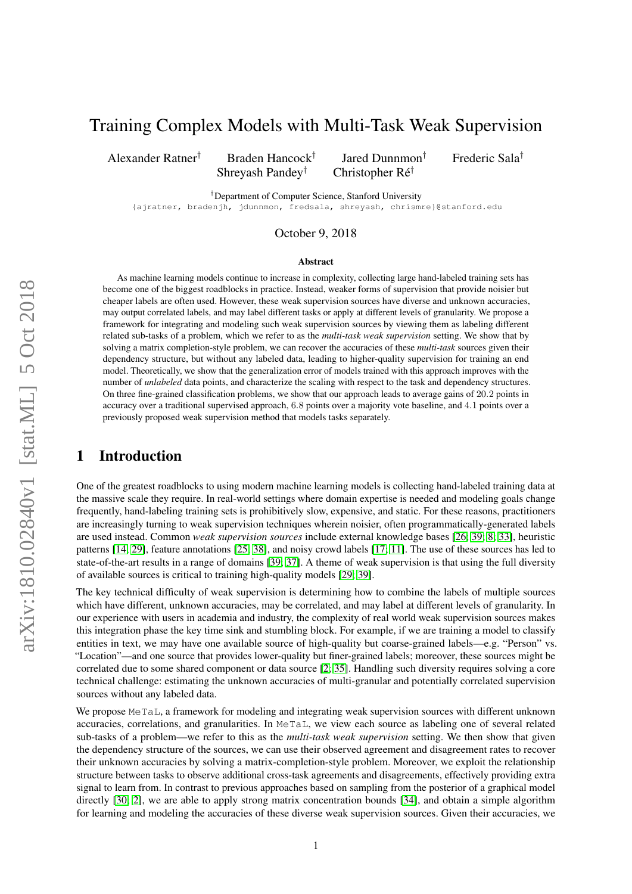# Training Complex Models with Multi-Task Weak Supervision

Alexander Ratner† Braden Hancock†

Shreyash Pandey† Christopher Ré†

Jared Dunnmon† Frederic Sala†

†Department of Computer Science, Stanford University

{ajratner, bradenjh, jdunnmon, fredsala, shreyash, chrismre}@stanford.edu

## October 9, 2018

#### Abstract

As machine learning models continue to increase in complexity, collecting large hand-labeled training sets has become one of the biggest roadblocks in practice. Instead, weaker forms of supervision that provide noisier but cheaper labels are often used. However, these weak supervision sources have diverse and unknown accuracies, may output correlated labels, and may label different tasks or apply at different levels of granularity. We propose a framework for integrating and modeling such weak supervision sources by viewing them as labeling different related sub-tasks of a problem, which we refer to as the *multi-task weak supervision* setting. We show that by solving a matrix completion-style problem, we can recover the accuracies of these *multi-task* sources given their dependency structure, but without any labeled data, leading to higher-quality supervision for training an end model. Theoretically, we show that the generalization error of models trained with this approach improves with the number of *unlabeled* data points, and characterize the scaling with respect to the task and dependency structures. On three fine-grained classification problems, we show that our approach leads to average gains of 20.2 points in accuracy over a traditional supervised approach, 6.8 points over a majority vote baseline, and 4.1 points over a previously proposed weak supervision method that models tasks separately.

# 1 Introduction

One of the greatest roadblocks to using modern machine learning models is collecting hand-labeled training data at the massive scale they require. In real-world settings where domain expertise is needed and modeling goals change frequently, hand-labeling training sets is prohibitively slow, expensive, and static. For these reasons, practitioners are increasingly turning to weak supervision techniques wherein noisier, often programmatically-generated labels are used instead. Common *weak supervision sources* include external knowledge bases [\[26;](#page-9-0) [39;](#page-10-0) [8;](#page-9-1) [33\]](#page-10-1), heuristic patterns [\[14;](#page-9-2) [29\]](#page-10-2), feature annotations [\[25;](#page-9-3) [38\]](#page-10-3), and noisy crowd labels [\[17;](#page-9-4) [11\]](#page-9-5). The use of these sources has led to state-of-the-art results in a range of domains [\[39;](#page-10-0) [37\]](#page-10-4). A theme of weak supervision is that using the full diversity of available sources is critical to training high-quality models [\[29;](#page-10-2) [39\]](#page-10-0).

The key technical difficulty of weak supervision is determining how to combine the labels of multiple sources which have different, unknown accuracies, may be correlated, and may label at different levels of granularity. In our experience with users in academia and industry, the complexity of real world weak supervision sources makes this integration phase the key time sink and stumbling block. For example, if we are training a model to classify entities in text, we may have one available source of high-quality but coarse-grained labels—e.g. "Person" vs. "Location"—and one source that provides lower-quality but finer-grained labels; moreover, these sources might be correlated due to some shared component or data source [\[2;](#page-9-6) [35\]](#page-10-5). Handling such diversity requires solving a core technical challenge: estimating the unknown accuracies of multi-granular and potentially correlated supervision sources without any labeled data.

We propose MeTaL, a framework for modeling and integrating weak supervision sources with different unknown accuracies, correlations, and granularities. In MeTaL, we view each source as labeling one of several related sub-tasks of a problem—we refer to this as the *multi-task weak supervision* setting. We then show that given the dependency structure of the sources, we can use their observed agreement and disagreement rates to recover their unknown accuracies by solving a matrix-completion-style problem. Moreover, we exploit the relationship structure between tasks to observe additional cross-task agreements and disagreements, effectively providing extra signal to learn from. In contrast to previous approaches based on sampling from the posterior of a graphical model directly [\[30;](#page-10-6) [2\]](#page-9-6), we are able to apply strong matrix concentration bounds [\[34\]](#page-10-7), and obtain a simple algorithm for learning and modeling the accuracies of these diverse weak supervision sources. Given their accuracies, we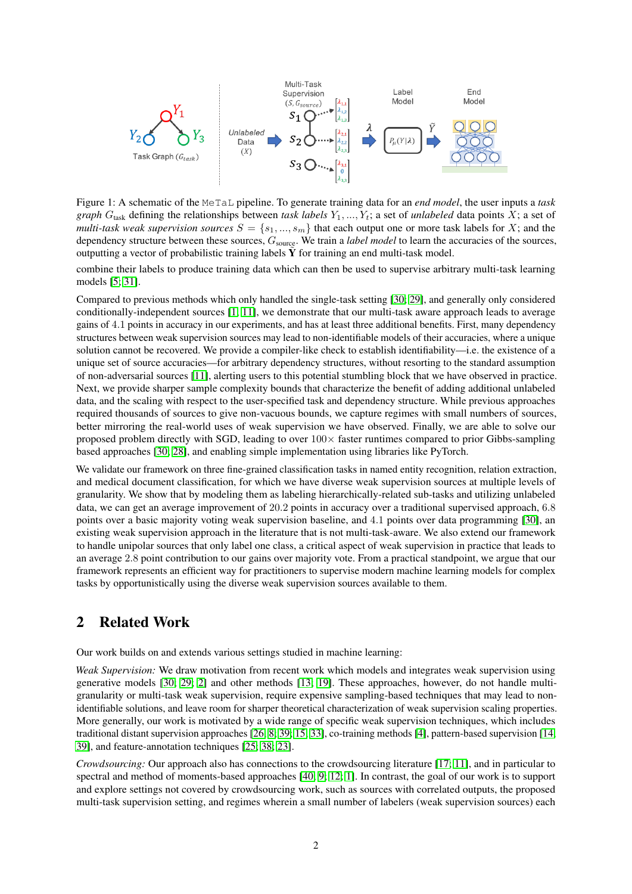<span id="page-1-0"></span>

Figure 1: A schematic of the MeTaL pipeline. To generate training data for an *end model*, the user inputs a *task graph*  $G_{\text{task}}$  defining the relationships between *task labels*  $Y_1, ..., Y_t$ ; a set of *unlabeled* data points X; a set of *multi-task weak supervision sources*  $S = \{s_1, ..., s_m\}$  that each output one or more task labels for X; and the dependency structure between these sources,  $G_{\text{source}}$ . We train a *label model* to learn the accuracies of the sources, outputting a vector of probabilistic training labels  $\tilde{Y}$  for training an end multi-task model.

combine their labels to produce training data which can then be used to supervise arbitrary multi-task learning models [\[5;](#page-9-7) [31\]](#page-10-8).

Compared to previous methods which only handled the single-task setting [\[30;](#page-10-6) [29\]](#page-10-2), and generally only considered conditionally-independent sources [\[1;](#page-9-8) [11\]](#page-9-5), we demonstrate that our multi-task aware approach leads to average gains of 4.1 points in accuracy in our experiments, and has at least three additional benefits. First, many dependency structures between weak supervision sources may lead to non-identifiable models of their accuracies, where a unique solution cannot be recovered. We provide a compiler-like check to establish identifiability—i.e. the existence of a unique set of source accuracies—for arbitrary dependency structures, without resorting to the standard assumption of non-adversarial sources [\[11\]](#page-9-5), alerting users to this potential stumbling block that we have observed in practice. Next, we provide sharper sample complexity bounds that characterize the benefit of adding additional unlabeled data, and the scaling with respect to the user-specified task and dependency structure. While previous approaches required thousands of sources to give non-vacuous bounds, we capture regimes with small numbers of sources, better mirroring the real-world uses of weak supervision we have observed. Finally, we are able to solve our proposed problem directly with SGD, leading to over  $100\times$  faster runtimes compared to prior Gibbs-sampling based approaches [\[30;](#page-10-6) [28\]](#page-10-9), and enabling simple implementation using libraries like PyTorch.

We validate our framework on three fine-grained classification tasks in named entity recognition, relation extraction, and medical document classification, for which we have diverse weak supervision sources at multiple levels of granularity. We show that by modeling them as labeling hierarchically-related sub-tasks and utilizing unlabeled data, we can get an average improvement of 20.2 points in accuracy over a traditional supervised approach, 6.8 points over a basic majority voting weak supervision baseline, and 4.1 points over data programming [\[30\]](#page-10-6), an existing weak supervision approach in the literature that is not multi-task-aware. We also extend our framework to handle unipolar sources that only label one class, a critical aspect of weak supervision in practice that leads to an average 2.8 point contribution to our gains over majority vote. From a practical standpoint, we argue that our framework represents an efficient way for practitioners to supervise modern machine learning models for complex tasks by opportunistically using the diverse weak supervision sources available to them.

# 2 Related Work

Our work builds on and extends various settings studied in machine learning:

*Weak Supervision:* We draw motivation from recent work which models and integrates weak supervision using generative models [\[30;](#page-10-6) [29;](#page-10-2) [2\]](#page-9-6) and other methods [\[13;](#page-9-9) [19\]](#page-9-10). These approaches, however, do not handle multigranularity or multi-task weak supervision, require expensive sampling-based techniques that may lead to nonidentifiable solutions, and leave room for sharper theoretical characterization of weak supervision scaling properties. More generally, our work is motivated by a wide range of specific weak supervision techniques, which includes traditional distant supervision approaches [\[26;](#page-9-0) [8;](#page-9-1) [39;](#page-10-0) [15;](#page-9-11) [33\]](#page-10-1), co-training methods [\[4\]](#page-9-12), pattern-based supervision [\[14;](#page-9-2) [39\]](#page-10-0), and feature-annotation techniques [\[25;](#page-9-3) [38;](#page-10-3) [23\]](#page-9-13).

*Crowdsourcing:* Our approach also has connections to the crowdsourcing literature [\[17;](#page-9-4) [11\]](#page-9-5), and in particular to spectral and method of moments-based approaches [\[40;](#page-10-10) [9;](#page-9-14) [12;](#page-9-15) [1\]](#page-9-8). In contrast, the goal of our work is to support and explore settings not covered by crowdsourcing work, such as sources with correlated outputs, the proposed multi-task supervision setting, and regimes wherein a small number of labelers (weak supervision sources) each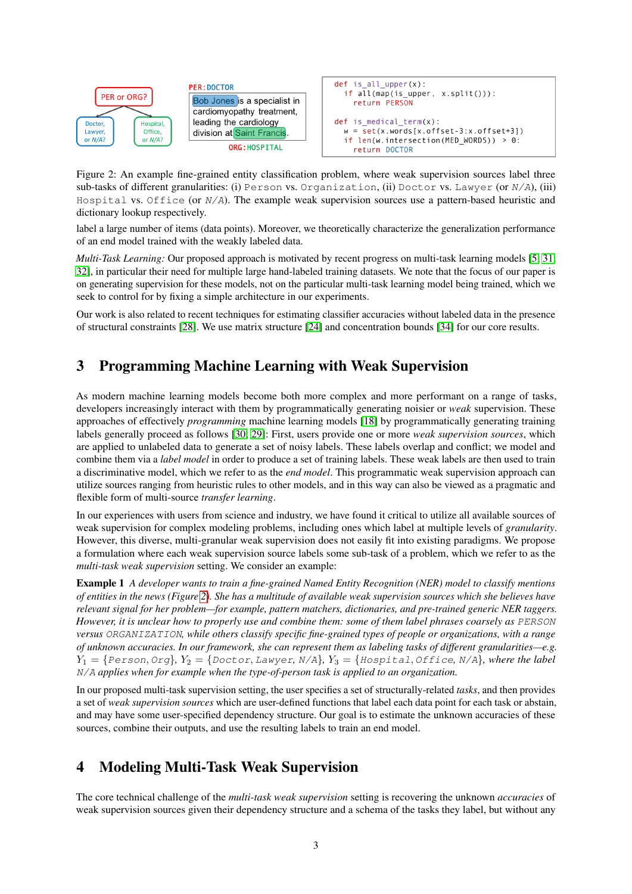<span id="page-2-0"></span>

**PER: DOCTOR** Bob Jones is a specialist in cardiomyopathy treatment, leading the cardiology division at Saint Francis ORG: HOSPITAL



Figure 2: An example fine-grained entity classification problem, where weak supervision sources label three sub-tasks of different granularities: (i) Person vs. Organization, (ii) Doctor vs. Lawyer (or  $N/A$ ), (iii) Hospital vs. Office (or  $N/A$ ). The example weak supervision sources use a pattern-based heuristic and dictionary lookup respectively.

label a large number of items (data points). Moreover, we theoretically characterize the generalization performance of an end model trained with the weakly labeled data.

*Multi-Task Learning:* Our proposed approach is motivated by recent progress on multi-task learning models [\[5;](#page-9-7) [31;](#page-10-8) [32\]](#page-10-11), in particular their need for multiple large hand-labeled training datasets. We note that the focus of our paper is on generating supervision for these models, not on the particular multi-task learning model being trained, which we seek to control for by fixing a simple architecture in our experiments.

Our work is also related to recent techniques for estimating classifier accuracies without labeled data in the presence of structural constraints [\[28\]](#page-10-9). We use matrix structure [\[24\]](#page-9-16) and concentration bounds [\[34\]](#page-10-7) for our core results.

# 3 Programming Machine Learning with Weak Supervision

As modern machine learning models become both more complex and more performant on a range of tasks, developers increasingly interact with them by programmatically generating noisier or *weak* supervision. These approaches of effectively *programming* machine learning models [\[18\]](#page-9-17) by programmatically generating training labels generally proceed as follows [\[30;](#page-10-6) [29\]](#page-10-2): First, users provide one or more *weak supervision sources*, which are applied to unlabeled data to generate a set of noisy labels. These labels overlap and conflict; we model and combine them via a *label model* in order to produce a set of training labels. These weak labels are then used to train a discriminative model, which we refer to as the *end model*. This programmatic weak supervision approach can utilize sources ranging from heuristic rules to other models, and in this way can also be viewed as a pragmatic and flexible form of multi-source *transfer learning*.

In our experiences with users from science and industry, we have found it critical to utilize all available sources of weak supervision for complex modeling problems, including ones which label at multiple levels of *granularity*. However, this diverse, multi-granular weak supervision does not easily fit into existing paradigms. We propose a formulation where each weak supervision source labels some sub-task of a problem, which we refer to as the *multi-task weak supervision* setting. We consider an example:

Example 1 *A developer wants to train a fine-grained Named Entity Recognition (NER) model to classify mentions of entities in the news (Figure [2\)](#page-2-0). She has a multitude of available weak supervision sources which she believes have relevant signal for her problem—for example, pattern matchers, dictionaries, and pre-trained generic NER taggers. However, it is unclear how to properly use and combine them: some of them label phrases coarsely as* PERSON *versus* ORGANIZATION*, while others classify specific fine-grained types of people or organizations, with a range of unknown accuracies. In our framework, she can represent them as labeling tasks of different granularities—e.g.*  $Y_1 = \{Person, Org\}$ ,  $Y_2 = \{ Doctor, Lawyer, N/A\}$ ,  $Y_3 = \{Hospital, Office, N/A\}$ , where the label N/A *applies when for example when the type-of-person task is applied to an organization.*

In our proposed multi-task supervision setting, the user specifies a set of structurally-related *tasks*, and then provides a set of *weak supervision sources* which are user-defined functions that label each data point for each task or abstain, and may have some user-specified dependency structure. Our goal is to estimate the unknown accuracies of these sources, combine their outputs, and use the resulting labels to train an end model.

# 4 Modeling Multi-Task Weak Supervision

The core technical challenge of the *multi-task weak supervision* setting is recovering the unknown *accuracies* of weak supervision sources given their dependency structure and a schema of the tasks they label, but without any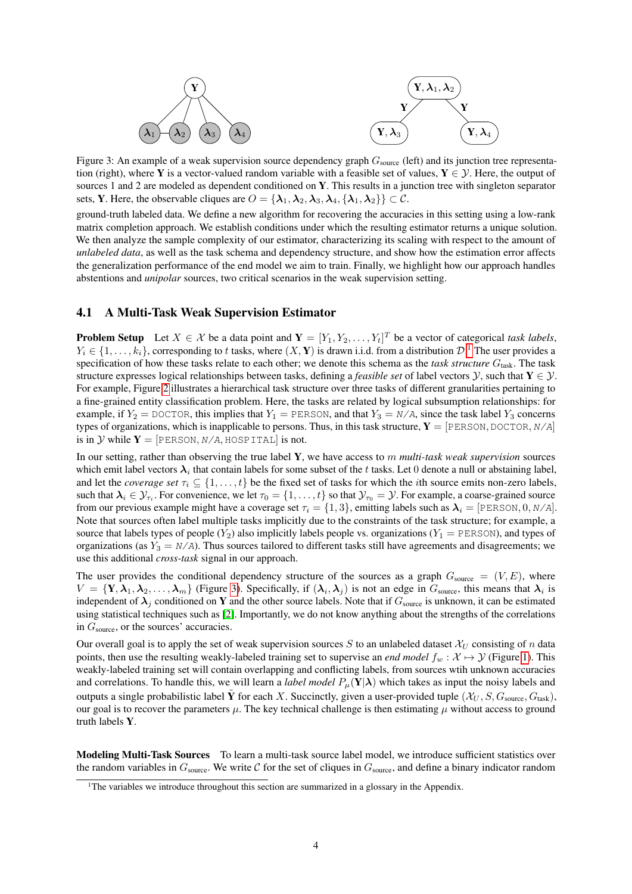<span id="page-3-1"></span>

Figure 3: An example of a weak supervision source dependency graph  $G_{\text{source}}$  (left) and its junction tree representation (right), where Y is a vector-valued random variable with a feasible set of values,  $Y \in \mathcal{Y}$ . Here, the output of sources 1 and 2 are modeled as dependent conditioned on Y. This results in a junction tree with singleton separator sets, **Y**. Here, the observable cliques are  $O = {\lambda_1, \lambda_2, \lambda_3, \lambda_4, {\lambda_1, \lambda_2}} \subset C$ .

ground-truth labeled data. We define a new algorithm for recovering the accuracies in this setting using a low-rank matrix completion approach. We establish conditions under which the resulting estimator returns a unique solution. We then analyze the sample complexity of our estimator, characterizing its scaling with respect to the amount of *unlabeled data*, as well as the task schema and dependency structure, and show how the estimation error affects the generalization performance of the end model we aim to train. Finally, we highlight how our approach handles abstentions and *unipolar* sources, two critical scenarios in the weak supervision setting.

#### 4.1 A Multi-Task Weak Supervision Estimator

**Problem Setup** Let  $X \in \mathcal{X}$  be a data point and  $\mathbf{Y} = [Y_1, Y_2, \dots, Y_t]^T$  be a vector of categorical *task labels*,  $Y_i \in \{1, \ldots, k_i\}$  $Y_i \in \{1, \ldots, k_i\}$  $Y_i \in \{1, \ldots, k_i\}$ , corresponding to t tasks, where  $(X, Y)$  is drawn i.i.d. from a distribution  $\mathcal{D}$ .<sup>1</sup> The user provides a specification of how these tasks relate to each other; we denote this schema as the *task structure* G<sub>task</sub>. The task structure expresses logical relationships between tasks, defining a *feasible set* of label vectors  $\mathcal{Y}$ , such that  $\mathbf{Y} \in \mathcal{Y}$ . For example, Figure [2](#page-2-0) illustrates a hierarchical task structure over three tasks of different granularities pertaining to a fine-grained entity classification problem. Here, the tasks are related by logical subsumption relationships: for example, if  $Y_2 =$  DOCTOR, this implies that  $Y_1 =$  PERSON, and that  $Y_3 = N/A$ , since the task label  $Y_3$  concerns types of organizations, which is inapplicable to persons. Thus, in this task structure,  $Y = [PERSON, DOCTOR, N/A]$ is in Y while  $Y = [PERSON, N/A, HOSPITAL]$  is not.

In our setting, rather than observing the true label Y, we have access to m *multi-task weak supervision* sources which emit label vectors  $\lambda_i$  that contain labels for some subset of the t tasks. Let 0 denote a null or abstaining label, and let the *coverage set*  $\tau_i \subseteq \{1, \ldots, t\}$  be the fixed set of tasks for which the *i*th source emits non-zero labels, such that  $\lambda_i \in \mathcal{Y}_{\tau_i}$ . For convenience, we let  $\tau_0 = \{1, \dots, t\}$  so that  $\mathcal{Y}_{\tau_0} = \mathcal{Y}$ . For example, a coarse-grained source from our previous example might have a coverage set  $\tau_i = \{1, 3\}$ , emitting labels such as  $\lambda_i = [\text{PERSON}, 0, N/A]$ . Note that sources often label multiple tasks implicitly due to the constraints of the task structure; for example, a source that labels types of people  $(Y_2)$  also implicitly labels people vs. organizations  $(Y_1 = PERSON)$ , and types of organizations (as  $Y_3 = N/A$ ). Thus sources tailored to different tasks still have agreements and disagreements; we use this additional *cross-task* signal in our approach.

The user provides the conditional dependency structure of the sources as a graph  $G_{\text{source}} = (V, E)$ , where  $V = \{Y, \lambda_1, \lambda_2, \ldots, \lambda_m\}$  (Figure [3\)](#page-3-1). Specifically, if  $(\lambda_i, \lambda_j)$  is not an edge in  $G_{\text{source}}$ , this means that  $\lambda_i$  is independent of  $\lambda_j$  conditioned on Y and the other source labels. Note that if  $G_{\text{source}}$  is unknown, it can be estimated using statistical techniques such as [\[2\]](#page-9-6). Importantly, we do not know anything about the strengths of the correlations in  $G_{\text{source}}$ , or the sources' accuracies.

Our overall goal is to apply the set of weak supervision sources S to an unlabeled dataset  $\mathcal{X}_U$  consisting of n data points, then use the resulting weakly-labeled training set to supervise an *end model*  $f_w : \mathcal{X} \mapsto \mathcal{Y}$  (Figure [1\)](#page-1-0). This weakly-labeled training set will contain overlapping and conflicting labels, from sources wtih unknown accuracies and correlations. To handle this, we will learn a *label model*  $P_\mu(\mathbf{Y}|\boldsymbol{\lambda})$  which takes as input the noisy labels and outputs a single probabilistic label  $\tilde{Y}$  for each X. Succinctly, given a user-provided tuple  $(\mathcal{X}_U, S, G_{\text{source}}, G_{\text{task}})$ , our goal is to recover the parameters  $\mu$ . The key technical challenge is then estimating  $\mu$  without access to ground truth labels Y.

Modeling Multi-Task Sources To learn a multi-task source label model, we introduce sufficient statistics over the random variables in  $G_{\text{source}}$ . We write C for the set of cliques in  $G_{\text{source}}$ , and define a binary indicator random

<span id="page-3-0"></span><sup>&</sup>lt;sup>1</sup>The variables we introduce throughout this section are summarized in a glossary in the Appendix.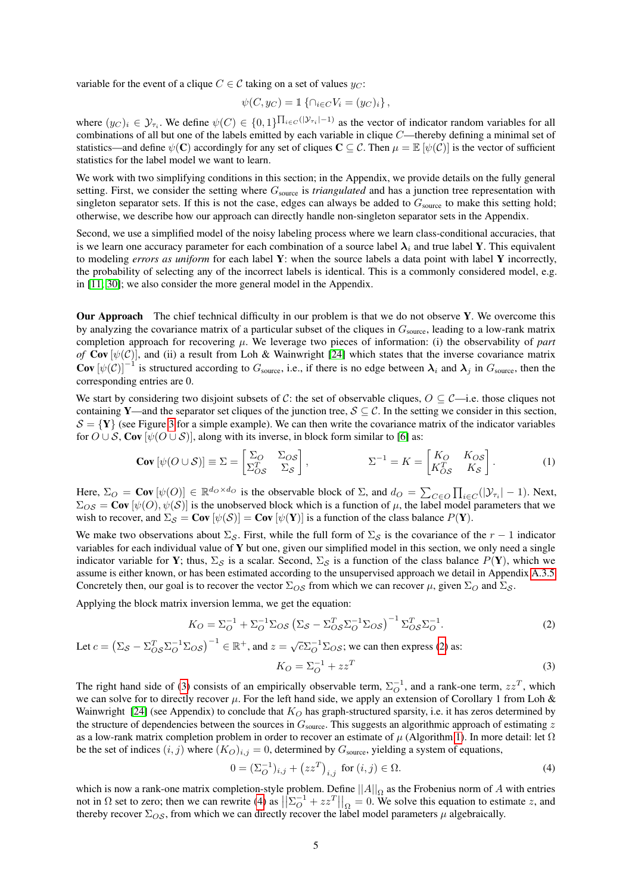variable for the event of a clique  $C \in \mathcal{C}$  taking on a set of values  $y_C$ :

$$
\psi(C, y_C) = \mathbb{1}\left\{\cap_{i \in C} V_i = (y_C)_i\right\},\
$$

where  $(y_C)_i \in \mathcal{Y}_{\tau_i}$ . We define  $\psi(C) \in \{0,1\}^{\prod_{i \in C}(|\mathcal{Y}_{\tau_i}| - 1)}$  as the vector of indicator random variables for all combinations of all but one of the labels emitted by each variable in clique C—thereby defining a minimal set of statistics—and define  $\psi(\mathbf{C})$  accordingly for any set of cliques  $\mathbf{C} \subseteq \mathcal{C}$ . Then  $\mu = \mathbb{E}[\psi(\mathcal{C})]$  is the vector of sufficient statistics for the label model we want to learn.

We work with two simplifying conditions in this section; in the Appendix, we provide details on the fully general setting. First, we consider the setting where  $G_{source}$  is *triangulated* and has a junction tree representation with singleton separator sets. If this is not the case, edges can always be added to  $G_{\text{source}}$  to make this setting hold; otherwise, we describe how our approach can directly handle non-singleton separator sets in the Appendix.

Second, we use a simplified model of the noisy labeling process where we learn class-conditional accuracies, that is we learn one accuracy parameter for each combination of a source label  $\lambda_i$  and true label Y. This equivalent to modeling *errors as uniform* for each label Y: when the source labels a data point with label Y incorrectly, the probability of selecting any of the incorrect labels is identical. This is a commonly considered model, e.g. in [\[11;](#page-9-5) [30\]](#page-10-6); we also consider the more general model in the Appendix.

Our Approach The chief technical difficulty in our problem is that we do not observe Y. We overcome this by analyzing the covariance matrix of a particular subset of the cliques in  $G_{\text{source}}$ , leading to a low-rank matrix completion approach for recovering  $\mu$ . We leverage two pieces of information: (i) the observability of *part of* Cov  $[\psi(\mathcal{C})]$ , and (ii) a result from Loh & Wainwright [\[24\]](#page-9-16) which states that the inverse covariance matrix **Cov**  $[\psi(C)]^{-1}$  is structured according to  $G_{\text{source}}$ , i.e., if there is no edge between  $\lambda_i$  and  $\lambda_j$  in  $G_{\text{source}}$ , then the corresponding entries are 0.

We start by considering two disjoint subsets of C: the set of observable cliques,  $O \subseteq C$ —i.e. those cliques not containing Y—and the separator set cliques of the junction tree,  $S \subseteq C$ . In the setting we consider in this section,  $S = \{Y\}$  (see Figure [3](#page-3-1) for a simple example). We can then write the covariance matrix of the indicator variables for  $O \cup S$ , Cov  $[\psi(O \cup S)]$ , along with its inverse, in block form similar to [\[6\]](#page-9-18) as:

$$
\text{Cov}\left[\psi(O \cup \mathcal{S})\right] \equiv \Sigma = \begin{bmatrix} \Sigma_O & \Sigma_{OS} \\ \Sigma_{OS}^T & \Sigma_{\mathcal{S}} \end{bmatrix}, \qquad \qquad \Sigma^{-1} = K = \begin{bmatrix} K_O & K_{OS} \\ K_{OS}^T & K_{\mathcal{S}} \end{bmatrix} . \tag{1}
$$

Here,  $\Sigma_O = \text{Cov}[\psi(O)] \in \mathbb{R}^{d_O \times d_O}$  is the observable block of  $\Sigma$ , and  $d_O = \sum_{C \in O} \prod_{i \in C} (|\mathcal{Y}_{\tau_i}| - 1)$ . Next,  $\Sigma_{OS} = \text{Cov}[\psi(0), \psi(\mathcal{S})]$  is the unobserved block which is a function of  $\mu$ , the label model parameters that we wish to recover, and  $\Sigma_{\mathcal{S}} = \text{Cov}[\psi(\mathcal{S})] = \text{Cov}[\psi(\mathbf{Y})]$  is a function of the class balance  $P(\mathbf{Y})$ .

We make two observations about  $\Sigma_{\mathcal{S}}$ . First, while the full form of  $\Sigma_{\mathcal{S}}$  is the covariance of the  $r - 1$  indicator variables for each individual value of Y but one, given our simplified model in this section, we only need a single indicator variable for Y; thus,  $\Sigma_S$  is a scalar. Second,  $\Sigma_S$  is a function of the class balance  $P(Y)$ , which we assume is either known, or has been estimated according to the unsupervised approach we detail in Appendix [A.3.5.](#page-17-0) Concretely then, our goal is to recover the vector  $\Sigma_{OS}$  from which we can recover  $\mu$ , given  $\Sigma_{O}$  and  $\Sigma_{S}$ .

Applying the block matrix inversion lemma, we get the equation:

$$
K_O = \Sigma_O^{-1} + \Sigma_O^{-1} \Sigma_{OS} \left( \Sigma_S - \Sigma_{OS}^T \Sigma_O^{-1} \Sigma_{OS} \right)^{-1} \Sigma_{OS}^T \Sigma_O^{-1}.
$$
 (2)

Let 
$$
c = (\Sigma_S - \Sigma_{OS}^T \Sigma_O^{-1} \Sigma_{OS})^{-1} \in \mathbb{R}^+
$$
, and  $z = \sqrt{c} \Sigma_O^{-1} \Sigma_{OS}$ ; we can then express (2) as:

<span id="page-4-2"></span><span id="page-4-1"></span><span id="page-4-0"></span>
$$
K_O = \Sigma_O^{-1} + zz^T \tag{3}
$$

The right hand side of [\(3\)](#page-4-1) consists of an empirically observable term,  $\Sigma_O^{-1}$ , and a rank-one term,  $zz^T$ , which we can solve for to directly recover  $\mu$ . For the left hand side, we apply an extension of Corollary 1 from Loh & Wainwright [\[24\]](#page-9-16) (see Appendix) to conclude that  $K_O$  has graph-structured sparsity, i.e. it has zeros determined by the structure of dependencies between the sources in  $G_{\text{source}}$ . This suggests an algorithmic approach of estimating  $z$ as a low-rank matrix completion problem in order to recover an estimate of  $\mu$  (Algorithm [1\)](#page-5-0). In more detail: let  $\Omega$ be the set of indices  $(i, j)$  where  $(K_O)_{i,j} = 0$ , determined by  $G_{\text{source}}$ , yielding a system of equations,

$$
0 = (\Sigma_O^{-1})_{i,j} + (zz^T)_{i,j} \text{ for } (i,j) \in \Omega.
$$
 (4)

which is now a rank-one matrix completion-style problem. Define  $||A||_{\Omega}$  as the Frobenius norm of A with entries not in  $\Omega$  set to zero; then we can rewrite [\(4\)](#page-4-2) as  $\left\| \Sigma_{\Omega}^{-1} + zz^T \right\|_{\Omega} = 0$ . We solve this equation to estimate z, and thereby recover  $\Sigma_{OS}$ , from which we can directly recover the label model parameters  $\mu$  algebraically.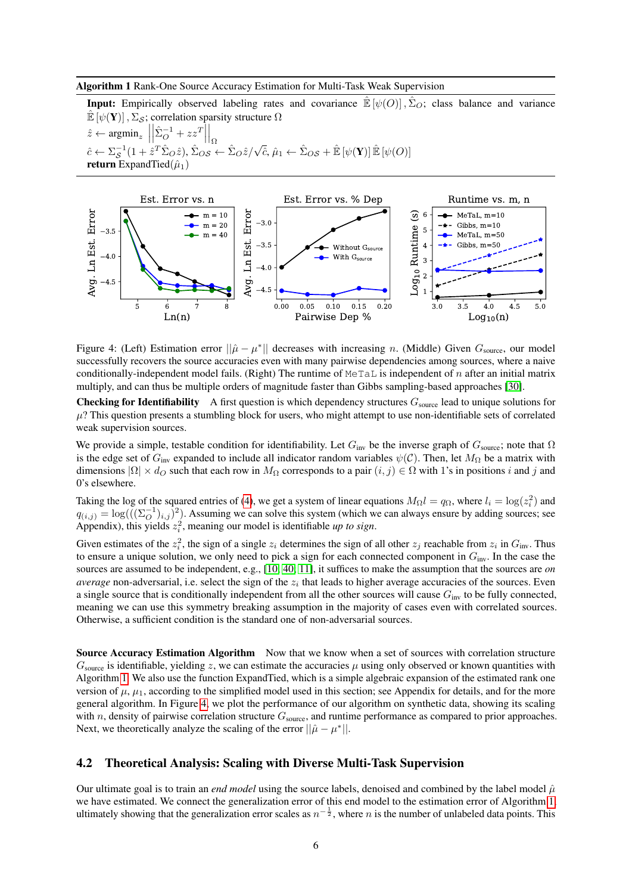#### <span id="page-5-0"></span>Algorithm 1 Rank-One Source Accuracy Estimation for Multi-Task Weak Supervision

**Input:** Empirically observed labeling rates and covariance  $\mathbb{E}[\psi(0)], \hat{\Sigma}_O$ ; class balance and variance  $\mathbb{E}[\psi(\mathbf{Y})], \Sigma_{\mathcal{S}}$ ; correlation sparsity structure  $\Omega$  $\hat{z} \leftarrow \operatorname{argmin}_{z} \Big|$  $\left|\hat{\Sigma}_O^{-1} + zz^T\right|$  $\Big\vert_\Omega$  $\hat{c} \leftarrow \sum_{\mathcal{S}}^{-1} (1 + \hat{z}^T \hat{\Sigma}_O \hat{z}), \hat{\Sigma}_{OS} \leftarrow \hat{\Sigma}_O \hat{z} / \sqrt{\hat{c}}, \hat{\mu}_1 \leftarrow \hat{\Sigma}_{OS} + \hat{\mathbb{E}} \left[ \psi(\mathbf{Y}) \right] \hat{\mathbb{E}} \left[ \psi(O) \right]$ return ExpandTied $(\hat{\mu}_1)$ 

<span id="page-5-1"></span>

Figure 4: (Left) Estimation error  $\|\hat{\mu} - \mu^*\|$  decreases with increasing *n*. (Middle) Given  $G_{\text{source}}$ , our model successfully recovers the source accuracies even with many pairwise dependencies among sources, where a naive conditionally-independent model fails. (Right) The runtime of MeTaL is independent of n after an initial matrix multiply, and can thus be multiple orders of magnitude faster than Gibbs sampling-based approaches [\[30\]](#page-10-6).

**Checking for Identifiability** A first question is which dependency structures  $G_{\text{source}}$  lead to unique solutions for  $\mu$ ? This question presents a stumbling block for users, who might attempt to use non-identifiable sets of correlated weak supervision sources.

We provide a simple, testable condition for identifiability. Let  $G_{\text{inv}}$  be the inverse graph of  $G_{\text{source}}$ ; note that  $\Omega$ is the edge set of  $G_{\text{inv}}$  expanded to include all indicator random variables  $\psi(\mathcal{C})$ . Then, let  $M_{\Omega}$  be a matrix with dimensions  $|\Omega| \times d_{\Omega}$  such that each row in  $M_{\Omega}$  corresponds to a pair  $(i, j) \in \Omega$  with 1's in positions i and j and 0's elsewhere.

Taking the log of the squared entries of [\(4\)](#page-4-2), we get a system of linear equations  $M_{\Omega}l = q_{\Omega}$ , where  $l_i = \log(z_i^2)$  and  $q_{(i,j)} = \log((\sum_{i=0}^{-1} i, j)^2)$ . Assuming we can solve this system (which we can always ensure by adding sources; see Appendix), this yields  $z_i^2$ , meaning our model is identifiable *up to sign*.

Given estimates of the  $z_i^2$ , the sign of a single  $z_i$  determines the sign of all other  $z_j$  reachable from  $z_i$  in  $G_{\text{inv}}$ . Thus to ensure a unique solution, we only need to pick a sign for each connected component in  $G_{\text{inv}}$ . In the case the sources are assumed to be independent, e.g., [\[10;](#page-9-19) [40;](#page-10-10) [11\]](#page-9-5), it suffices to make the assumption that the sources are *on average* non-adversarial, i.e. select the sign of the  $z_i$  that leads to higher average accuracies of the sources. Even a single source that is conditionally independent from all the other sources will cause  $G_{\text{inv}}$  to be fully connected, meaning we can use this symmetry breaking assumption in the majority of cases even with correlated sources. Otherwise, a sufficient condition is the standard one of non-adversarial sources.

Source Accuracy Estimation Algorithm Now that we know when a set of sources with correlation structure  $G_{\text{source}}$  is identifiable, yielding z, we can estimate the accuracies  $\mu$  using only observed or known quantities with Algorithm [1.](#page-5-0) We also use the function ExpandTied, which is a simple algebraic expansion of the estimated rank one version of  $\mu$ ,  $\mu_1$ , according to the simplified model used in this section; see Appendix for details, and for the more general algorithm. In Figure [4,](#page-5-1) we plot the performance of our algorithm on synthetic data, showing its scaling with  $n$ , density of pairwise correlation structure  $G_{source}$ , and runtime performance as compared to prior approaches. Next, we theoretically analyze the scaling of the error  $||\hat{\mu} - \mu^*||$ .

### 4.2 Theoretical Analysis: Scaling with Diverse Multi-Task Supervision

Our ultimate goal is to train an *end model* using the source labels, denoised and combined by the label model  $\hat{\mu}$ we have estimated. We connect the generalization error of this end model to the estimation error of Algorithm [1,](#page-5-0) ultimately showing that the generalization error scales as  $n^{-\frac{1}{2}}$ , where n is the number of unlabeled data points. This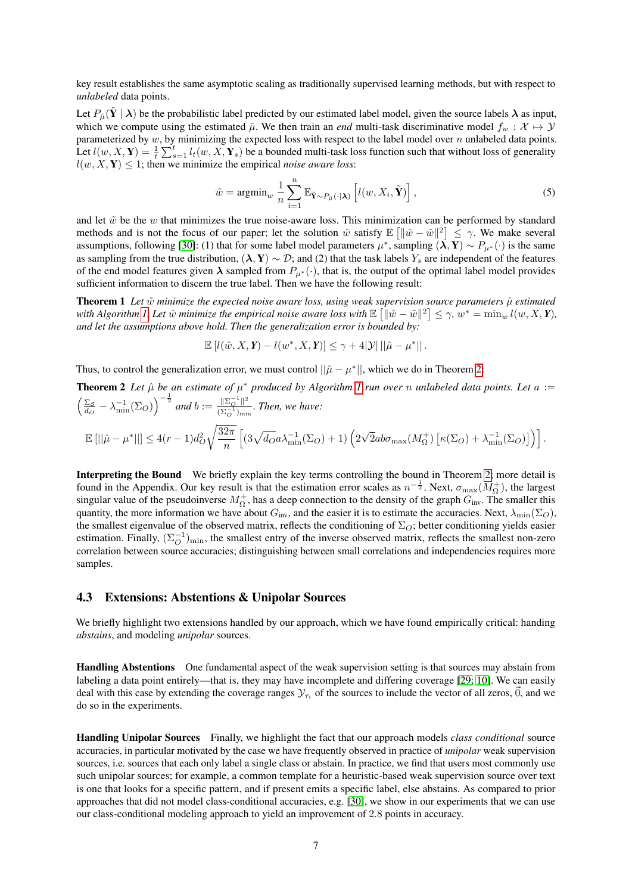key result establishes the same asymptotic scaling as traditionally supervised learning methods, but with respect to *unlabeled* data points.

Let  $P_{\hat{\mu}}(\tilde{Y} | \lambda)$  be the probabilistic label predicted by our estimated label model, given the source labels  $\lambda$  as input, which we compute using the estimated  $\hat{\mu}$ . We then train an *end* multi-task discriminative model  $f_w : \mathcal{X} \mapsto \mathcal{Y}$ parameterized by  $w$ , by minimizing the expected loss with respect to the label model over  $n$  unlabeled data points. Let  $l(w, X, Y) = \frac{1}{t} \sum_{s=1}^{t} l_t(w, X, Y_s)$  be a bounded multi-task loss function such that without loss of generality  $l(w, X, Y) \leq 1$ ; then we minimize the empirical *noise aware loss*:

$$
\hat{w} = \operatorname{argmin}_{w} \frac{1}{n} \sum_{i=1}^{n} \mathbb{E}_{\tilde{\mathbf{Y}} \sim P_{\hat{\mu}}(\cdot | \mathbf{\lambda})} \left[ l(w, X_i, \tilde{\mathbf{Y}}) \right],\tag{5}
$$

and let  $\tilde{w}$  be the w that minimizes the true noise-aware loss. This minimization can be performed by standard methods and is not the focus of our paper; let the solution  $\hat{w}$  satisfy  $\mathbb{E} \left[ \|\hat{w} - \tilde{w}\|^2 \right] \leq \gamma$ . We make several assumptions, following [\[30\]](#page-10-6): (1) that for some label model parameters  $\mu^*$ , sampling  $(\lambda, Y) \sim P_{\mu^*}(\cdot)$  is the same as sampling from the true distribution,  $(\lambda, Y) \sim \mathcal{D}$ ; and (2) that the task labels Y<sub>s</sub> are independent of the features of the end model features given  $\lambda$  sampled from  $P_{\mu^*}(\cdot)$ , that is, the output of the optimal label model provides sufficient information to discern the true label. Then we have the following result:

**Theorem 1** Let  $\tilde{w}$  minimize the expected noise aware loss, using weak supervision source parameters  $\hat{\mu}$  estimated with Algorithm [1.](#page-5-0) Let  $\hat{w}$  minimize the empirical noise aware loss with  $\mathbb{E} \left[ \|\hat{w} - \tilde{w}\|^2 \right] \leq \gamma$ ,  $w^* = \min_w l(w, X, Y)$ , *and let the assumptions above hold. Then the generalization error is bounded by:*

$$
\mathbb{E}\left[l(\hat{w}, X, \mathbf{Y}) - l(w^*, X, \mathbf{Y})\right] \leq \gamma + 4|\mathcal{Y}| \left|\left|\hat{\mu} - \mu^*\right|\right|.
$$

Thus, to control the generalization error, we must control  $||\hat{\mu} - \mu^*||$ , which we do in Theorem [2:](#page-6-0)

<span id="page-6-0"></span>**Theorem 2** Let 
$$
\hat{\mu}
$$
 be an estimate of  $\mu^*$  produced by Algorithm 1 run over n unlabeled data points. Let  $a := \left(\frac{\Sigma_{\mathcal{S}}}{d_O} - \lambda_{\min}^{-1}(\Sigma_O)\right)^{-\frac{1}{2}}$  and  $b := \frac{\|\Sigma_O^{-1}\|^2}{(\Sigma_O^{-1})_{\min}}$ . Then, we have:  
\n
$$
\mathbb{E}[\|\hat{\mu} - \mu^*\|] \le 4(r-1)d_O^2\sqrt{\frac{32\pi}{n}}\left[(3\sqrt{d_O}a\lambda_{\min}^{-1}(\Sigma_O) + 1)\left(2\sqrt{2}ab\sigma_{\max}(M_{\Omega}^+) \left[\kappa(\Sigma_O) + \lambda_{\min}^{-1}(\Sigma_O)\right]\right)\right].
$$

Interpreting the Bound We briefly explain the key terms controlling the bound in Theorem [2;](#page-6-0) more detail is found in the Appendix. Our key result is that the estimation error scales as  $n^{-\frac{1}{2}}$ . Next,  $\sigma_{\max}(M_{\Omega}^+)$ , the largest singular value of the pseudoinverse  $M_{\Omega}^+$ , has a deep connection to the density of the graph  $G_{\text{inv}}$ . The smaller this quantity, the more information we have about  $G_{\text{inv}}$ , and the easier it is to estimate the accuracies. Next,  $\lambda_{\min}(\Sigma_O)$ , the smallest eigenvalue of the observed matrix, reflects the conditioning of  $\Sigma_O$ ; better conditioning yields easier estimation. Finally,  $(\Sigma_O^{-1})_{\text{min}}$ , the smallest entry of the inverse observed matrix, reflects the smallest non-zero correlation between source accuracies; distinguishing between small correlations and independencies requires more samples.

## <span id="page-6-1"></span>4.3 Extensions: Abstentions & Unipolar Sources

We briefly highlight two extensions handled by our approach, which we have found empirically critical: handing *abstains*, and modeling *unipolar* sources.

Handling Abstentions One fundamental aspect of the weak supervision setting is that sources may abstain from labeling a data point entirely—that is, they may have incomplete and differing coverage [\[29;](#page-10-2) [10\]](#page-9-19). We can easily deal with this case by extending the coverage ranges  $y_{\tau_i}$  of the sources to include the vector of all zeros,  $\vec{0}$ , and we do so in the experiments.

Handling Unipolar Sources Finally, we highlight the fact that our approach models *class conditional* source accuracies, in particular motivated by the case we have frequently observed in practice of *unipolar* weak supervision sources, i.e. sources that each only label a single class or abstain. In practice, we find that users most commonly use such unipolar sources; for example, a common template for a heuristic-based weak supervision source over text is one that looks for a specific pattern, and if present emits a specific label, else abstains. As compared to prior approaches that did not model class-conditional accuracies, e.g. [\[30\]](#page-10-6), we show in our experiments that we can use our class-conditional modeling approach to yield an improvement of 2.8 points in accuracy.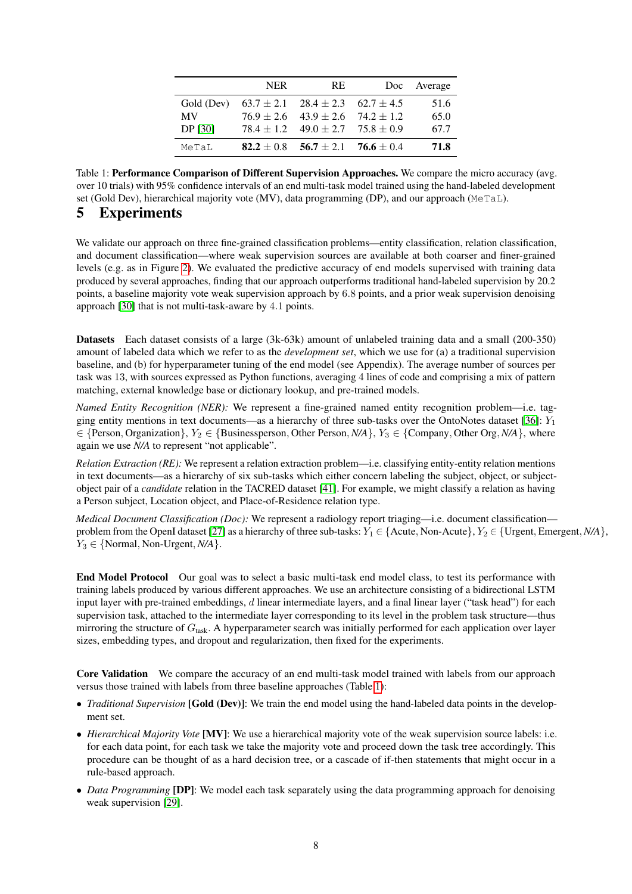<span id="page-7-0"></span>

|                | <b>NER</b>   | RE.                                          | Doc | Average |
|----------------|--------------|----------------------------------------------|-----|---------|
| Gold (Dev)     |              | $63.7 \pm 2.1$ $28.4 \pm 2.3$ $62.7 \pm 4.5$ |     | 51.6    |
| MV             |              | $76.9 \pm 2.6$ $43.9 \pm 2.6$ $74.2 \pm 1.2$ |     | 65.0    |
| <b>DP</b> [30] |              | $78.4 \pm 1.2$ $49.0 \pm 2.7$ $75.8 \pm 0.9$ |     | 67.7    |
| MeTaL          | $82.2 + 0.8$ | $56.7 \pm 2.1$ 76.6 $\pm$ 0.4                |     | 71.8    |

Table 1: Performance Comparison of Different Supervision Approaches. We compare the micro accuracy (avg. over 10 trials) with 95% confidence intervals of an end multi-task model trained using the hand-labeled development set (Gold Dev), hierarchical majority vote (MV), data programming (DP), and our approach (MeTaL).

# 5 Experiments

We validate our approach on three fine-grained classification problems—entity classification, relation classification, and document classification—where weak supervision sources are available at both coarser and finer-grained levels (e.g. as in Figure [2\)](#page-2-0). We evaluated the predictive accuracy of end models supervised with training data produced by several approaches, finding that our approach outperforms traditional hand-labeled supervision by 20.2 points, a baseline majority vote weak supervision approach by 6.8 points, and a prior weak supervision denoising approach [\[30\]](#page-10-6) that is not multi-task-aware by 4.1 points.

Datasets Each dataset consists of a large (3k-63k) amount of unlabeled training data and a small (200-350) amount of labeled data which we refer to as the *development set*, which we use for (a) a traditional supervision baseline, and (b) for hyperparameter tuning of the end model (see Appendix). The average number of sources per task was 13, with sources expressed as Python functions, averaging 4 lines of code and comprising a mix of pattern matching, external knowledge base or dictionary lookup, and pre-trained models.

*Named Entity Recognition (NER):* We represent a fine-grained named entity recognition problem—i.e. tag-ging entity mentions in text documents—as a hierarchy of three sub-tasks over the OntoNotes dataset [\[36\]](#page-10-12):  $Y_1$ ∈ {Person, Organization}, Y<sup>2</sup> ∈ {Businessperson, Other Person, *N/A*}, Y<sup>3</sup> ∈ {Company, Other Org, *N/A*}, where again we use *N/A* to represent "not applicable".

*Relation Extraction (RE):* We represent a relation extraction problem—i.e. classifying entity-entity relation mentions in text documents—as a hierarchy of six sub-tasks which either concern labeling the subject, object, or subjectobject pair of a *candidate* relation in the TACRED dataset [\[41\]](#page-10-13). For example, we might classify a relation as having a Person subject, Location object, and Place-of-Residence relation type.

*Medical Document Classification (Doc):* We represent a radiology report triaging—i.e. document classification— problem from the OpenI dataset [\[27\]](#page-10-14) as a hierarchy of three sub-tasks:  $Y_1 \in \{$ Acute, Non-Acute $\}$ ,  $Y_2 \in \{$  Urgent, Emergent, *N*/A $\}$ ,  $Y_3 \in \{Normal, Non-Urgent, N/A\}.$ 

End Model Protocol Our goal was to select a basic multi-task end model class, to test its performance with training labels produced by various different approaches. We use an architecture consisting of a bidirectional LSTM input layer with pre-trained embeddings,  $d$  linear intermediate layers, and a final linear layer ("task head") for each supervision task, attached to the intermediate layer corresponding to its level in the problem task structure—thus mirroring the structure of  $G<sub>task</sub>$ . A hyperparameter search was initially performed for each application over layer sizes, embedding types, and dropout and regularization, then fixed for the experiments.

Core Validation We compare the accuracy of an end multi-task model trained with labels from our approach versus those trained with labels from three baseline approaches (Table [1\)](#page-7-0):

- *Traditional Supervision* [Gold (Dev)]: We train the end model using the hand-labeled data points in the development set.
- *Hierarchical Majority Vote* [MV]: We use a hierarchical majority vote of the weak supervision source labels: i.e. for each data point, for each task we take the majority vote and proceed down the task tree accordingly. This procedure can be thought of as a hard decision tree, or a cascade of if-then statements that might occur in a rule-based approach.
- *Data Programming* [DP]: We model each task separately using the data programming approach for denoising weak supervision [\[29\]](#page-10-2).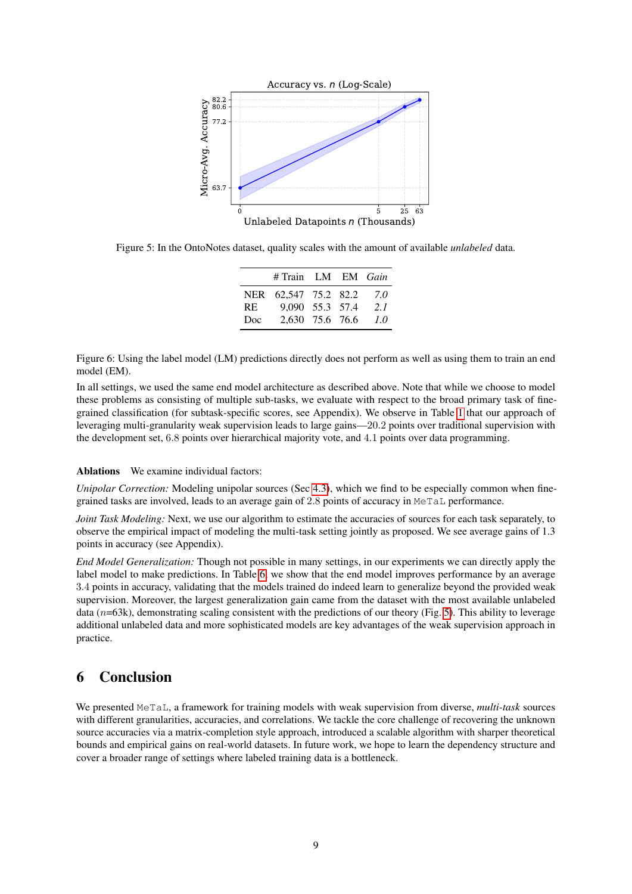<span id="page-8-1"></span>

<span id="page-8-0"></span>Figure 5: In the OntoNotes dataset, quality scales with the amount of available *unlabeled* data.

|     | # Train LM EM Gain   |  |     |
|-----|----------------------|--|-----|
|     | NER 62,547 75.2 82.2 |  | 7.0 |
| RE. | 9,090 55.3 57.4      |  | 21  |
| Doc | 2,630 75.6 76.6      |  | 1.0 |

Figure 6: Using the label model (LM) predictions directly does not perform as well as using them to train an end model (EM).

In all settings, we used the same end model architecture as described above. Note that while we choose to model these problems as consisting of multiple sub-tasks, we evaluate with respect to the broad primary task of finegrained classification (for subtask-specific scores, see Appendix). We observe in Table [1](#page-7-0) that our approach of leveraging multi-granularity weak supervision leads to large gains—20.2 points over traditional supervision with the development set, 6.8 points over hierarchical majority vote, and 4.1 points over data programming.

#### Ablations We examine individual factors:

*Unipolar Correction:* Modeling unipolar sources (Sec [4.3\)](#page-6-1), which we find to be especially common when finegrained tasks are involved, leads to an average gain of 2.8 points of accuracy in MeTaL performance.

*Joint Task Modeling:* Next, we use our algorithm to estimate the accuracies of sources for each task separately, to observe the empirical impact of modeling the multi-task setting jointly as proposed. We see average gains of 1.3 points in accuracy (see Appendix).

*End Model Generalization:* Though not possible in many settings, in our experiments we can directly apply the label model to make predictions. In Table [6,](#page-8-0) we show that the end model improves performance by an average 3.4 points in accuracy, validating that the models trained do indeed learn to generalize beyond the provided weak supervision. Moreover, the largest generalization gain came from the dataset with the most available unlabeled data ( $n=63k$ ), demonstrating scaling consistent with the predictions of our theory (Fig. [5\)](#page-8-1). This ability to leverage additional unlabeled data and more sophisticated models are key advantages of the weak supervision approach in practice.

# 6 Conclusion

We presented MeTaL, a framework for training models with weak supervision from diverse, *multi-task* sources with different granularities, accuracies, and correlations. We tackle the core challenge of recovering the unknown source accuracies via a matrix-completion style approach, introduced a scalable algorithm with sharper theoretical bounds and empirical gains on real-world datasets. In future work, we hope to learn the dependency structure and cover a broader range of settings where labeled training data is a bottleneck.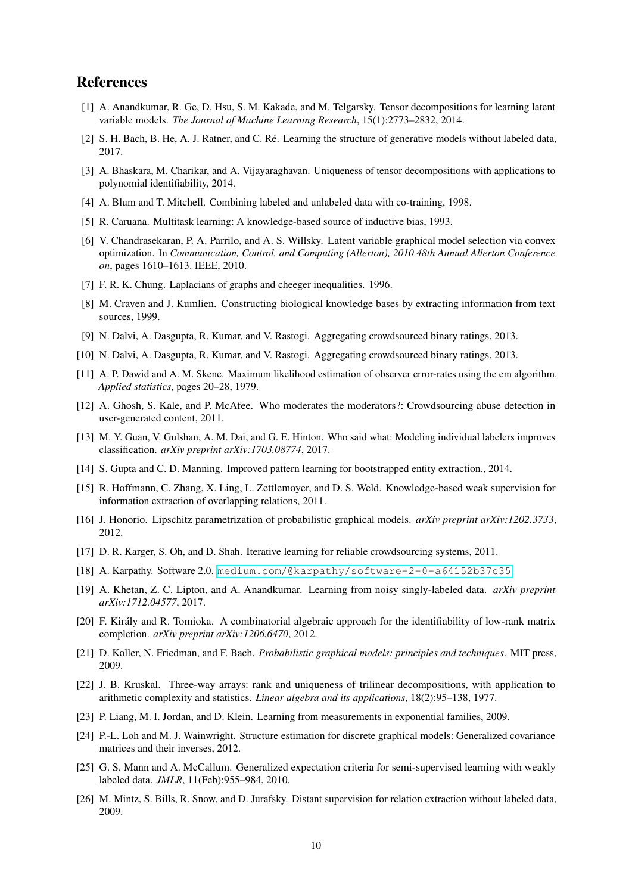# References

- <span id="page-9-8"></span>[1] A. Anandkumar, R. Ge, D. Hsu, S. M. Kakade, and M. Telgarsky. Tensor decompositions for learning latent variable models. *The Journal of Machine Learning Research*, 15(1):2773–2832, 2014.
- <span id="page-9-6"></span>[2] S. H. Bach, B. He, A. J. Ratner, and C. Ré. Learning the structure of generative models without labeled data, 2017.
- <span id="page-9-22"></span>[3] A. Bhaskara, M. Charikar, and A. Vijayaraghavan. Uniqueness of tensor decompositions with applications to polynomial identifiability, 2014.
- <span id="page-9-12"></span>[4] A. Blum and T. Mitchell. Combining labeled and unlabeled data with co-training, 1998.
- <span id="page-9-7"></span>[5] R. Caruana. Multitask learning: A knowledge-based source of inductive bias, 1993.
- <span id="page-9-18"></span>[6] V. Chandrasekaran, P. A. Parrilo, and A. S. Willsky. Latent variable graphical model selection via convex optimization. In *Communication, Control, and Computing (Allerton), 2010 48th Annual Allerton Conference on*, pages 1610–1613. IEEE, 2010.
- <span id="page-9-24"></span>[7] F. R. K. Chung. Laplacians of graphs and cheeger inequalities. 1996.
- <span id="page-9-1"></span>[8] M. Craven and J. Kumlien. Constructing biological knowledge bases by extracting information from text sources, 1999.
- <span id="page-9-14"></span>[9] N. Dalvi, A. Dasgupta, R. Kumar, and V. Rastogi. Aggregating crowdsourced binary ratings, 2013.
- <span id="page-9-19"></span>[10] N. Dalvi, A. Dasgupta, R. Kumar, and V. Rastogi. Aggregating crowdsourced binary ratings, 2013.
- <span id="page-9-5"></span>[11] A. P. Dawid and A. M. Skene. Maximum likelihood estimation of observer error-rates using the em algorithm. *Applied statistics*, pages 20–28, 1979.
- <span id="page-9-15"></span>[12] A. Ghosh, S. Kale, and P. McAfee. Who moderates the moderators?: Crowdsourcing abuse detection in user-generated content, 2011.
- <span id="page-9-9"></span>[13] M. Y. Guan, V. Gulshan, A. M. Dai, and G. E. Hinton. Who said what: Modeling individual labelers improves classification. *arXiv preprint arXiv:1703.08774*, 2017.
- <span id="page-9-2"></span>[14] S. Gupta and C. D. Manning. Improved pattern learning for bootstrapped entity extraction., 2014.
- <span id="page-9-11"></span>[15] R. Hoffmann, C. Zhang, X. Ling, L. Zettlemoyer, and D. S. Weld. Knowledge-based weak supervision for information extraction of overlapping relations, 2011.
- <span id="page-9-25"></span>[16] J. Honorio. Lipschitz parametrization of probabilistic graphical models. *arXiv preprint arXiv:1202.3733*, 2012.
- <span id="page-9-4"></span>[17] D. R. Karger, S. Oh, and D. Shah. Iterative learning for reliable crowdsourcing systems, 2011.
- <span id="page-9-17"></span>[18] A. Karpathy. Software 2.0. <medium.com/@karpathy/software-2-0-a64152b37c35>.
- <span id="page-9-10"></span>[19] A. Khetan, Z. C. Lipton, and A. Anandkumar. Learning from noisy singly-labeled data. *arXiv preprint arXiv:1712.04577*, 2017.
- <span id="page-9-23"></span>[20] F. Király and R. Tomioka. A combinatorial algebraic approach for the identifiability of low-rank matrix completion. *arXiv preprint arXiv:1206.6470*, 2012.
- <span id="page-9-20"></span>[21] D. Koller, N. Friedman, and F. Bach. *Probabilistic graphical models: principles and techniques*. MIT press, 2009.
- <span id="page-9-21"></span>[22] J. B. Kruskal. Three-way arrays: rank and uniqueness of trilinear decompositions, with application to arithmetic complexity and statistics. *Linear algebra and its applications*, 18(2):95–138, 1977.
- <span id="page-9-13"></span>[23] P. Liang, M. I. Jordan, and D. Klein. Learning from measurements in exponential families, 2009.
- <span id="page-9-16"></span>[24] P.-L. Loh and M. J. Wainwright. Structure estimation for discrete graphical models: Generalized covariance matrices and their inverses, 2012.
- <span id="page-9-3"></span>[25] G. S. Mann and A. McCallum. Generalized expectation criteria for semi-supervised learning with weakly labeled data. *JMLR*, 11(Feb):955–984, 2010.
- <span id="page-9-0"></span>[26] M. Mintz, S. Bills, R. Snow, and D. Jurafsky. Distant supervision for relation extraction without labeled data, 2009.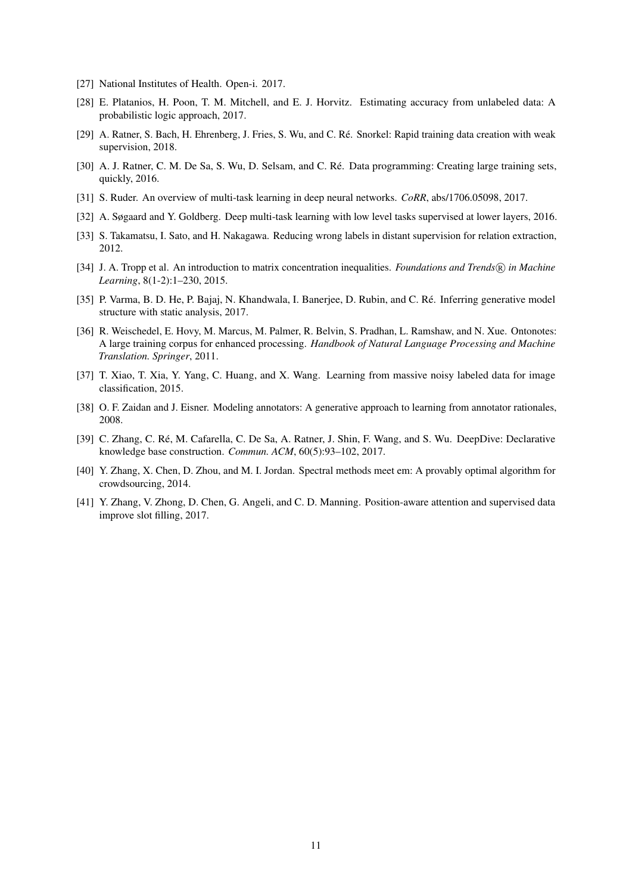- <span id="page-10-14"></span>[27] National Institutes of Health. Open-i. 2017.
- <span id="page-10-9"></span>[28] E. Platanios, H. Poon, T. M. Mitchell, and E. J. Horvitz. Estimating accuracy from unlabeled data: A probabilistic logic approach, 2017.
- <span id="page-10-2"></span>[29] A. Ratner, S. Bach, H. Ehrenberg, J. Fries, S. Wu, and C. Ré. Snorkel: Rapid training data creation with weak supervision, 2018.
- <span id="page-10-6"></span>[30] A. J. Ratner, C. M. De Sa, S. Wu, D. Selsam, and C. Ré. Data programming: Creating large training sets, quickly, 2016.
- <span id="page-10-8"></span>[31] S. Ruder. An overview of multi-task learning in deep neural networks. *CoRR*, abs/1706.05098, 2017.
- <span id="page-10-11"></span>[32] A. Søgaard and Y. Goldberg. Deep multi-task learning with low level tasks supervised at lower layers, 2016.
- <span id="page-10-1"></span>[33] S. Takamatsu, I. Sato, and H. Nakagawa. Reducing wrong labels in distant supervision for relation extraction, 2012.
- <span id="page-10-7"></span>[34] J. A. Tropp et al. An introduction to matrix concentration inequalities. *Foundations and Trends*(R) in Machine *Learning*, 8(1-2):1–230, 2015.
- <span id="page-10-5"></span>[35] P. Varma, B. D. He, P. Bajaj, N. Khandwala, I. Banerjee, D. Rubin, and C. Ré. Inferring generative model structure with static analysis, 2017.
- <span id="page-10-12"></span>[36] R. Weischedel, E. Hovy, M. Marcus, M. Palmer, R. Belvin, S. Pradhan, L. Ramshaw, and N. Xue. Ontonotes: A large training corpus for enhanced processing. *Handbook of Natural Language Processing and Machine Translation. Springer*, 2011.
- <span id="page-10-4"></span>[37] T. Xiao, T. Xia, Y. Yang, C. Huang, and X. Wang. Learning from massive noisy labeled data for image classification, 2015.
- <span id="page-10-3"></span>[38] O. F. Zaidan and J. Eisner. Modeling annotators: A generative approach to learning from annotator rationales, 2008.
- <span id="page-10-0"></span>[39] C. Zhang, C. Ré, M. Cafarella, C. De Sa, A. Ratner, J. Shin, F. Wang, and S. Wu. DeepDive: Declarative knowledge base construction. *Commun. ACM*, 60(5):93–102, 2017.
- <span id="page-10-10"></span>[40] Y. Zhang, X. Chen, D. Zhou, and M. I. Jordan. Spectral methods meet em: A provably optimal algorithm for crowdsourcing, 2014.
- <span id="page-10-13"></span>[41] Y. Zhang, V. Zhong, D. Chen, G. Angeli, and C. D. Manning. Position-aware attention and supervised data improve slot filling, 2017.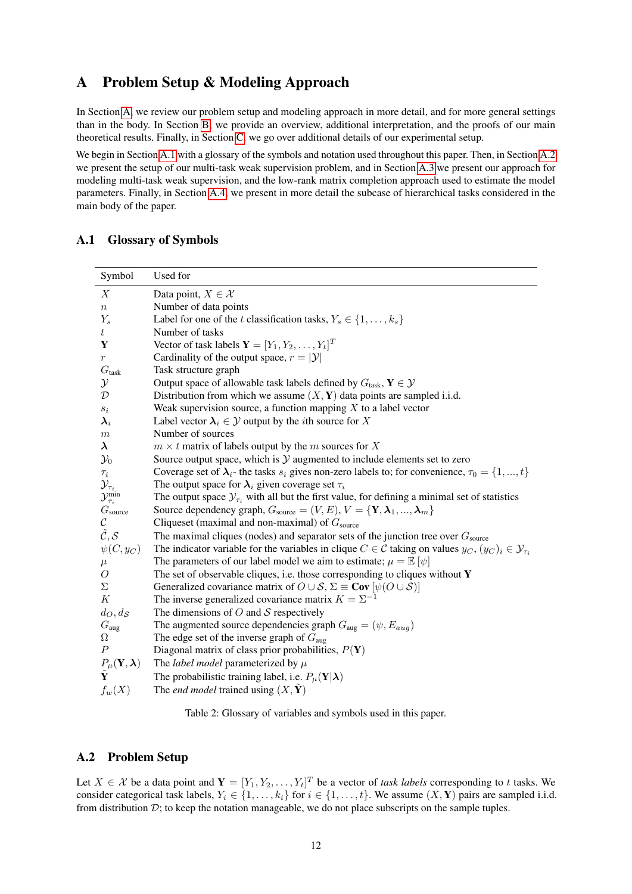# <span id="page-11-0"></span>A Problem Setup & Modeling Approach

In Section [A,](#page-11-0) we review our problem setup and modeling approach in more detail, and for more general settings than in the body. In Section [B,](#page-19-0) we provide an overview, additional interpretation, and the proofs of our main theoretical results. Finally, in Section [C,](#page-28-0) we go over additional details of our experimental setup.

We begin in Section [A.1](#page-11-1) with a glossary of the symbols and notation used throughout this paper. Then, in Section [A.2](#page-11-2) we present the setup of our multi-task weak supervision problem, and in Section [A.3](#page-12-0) we present our approach for modeling multi-task weak supervision, and the low-rank matrix completion approach used to estimate the model parameters. Finally, in Section [A.4,](#page-18-0) we present in more detail the subcase of hierarchical tasks considered in the main body of the paper.

## <span id="page-11-1"></span>A.1 Glossary of Symbols

| Symbol                                                                                                        | Used for                                                                                                                           |
|---------------------------------------------------------------------------------------------------------------|------------------------------------------------------------------------------------------------------------------------------------|
| X                                                                                                             | Data point, $X \in \mathcal{X}$                                                                                                    |
| $\, n$                                                                                                        | Number of data points                                                                                                              |
| $Y_s$                                                                                                         | Label for one of the t classification tasks, $Y_s \in \{1, \ldots, k_s\}$                                                          |
| $t_{\scriptscriptstyle\perp}$                                                                                 | Number of tasks                                                                                                                    |
| Y                                                                                                             | Vector of task labels $\mathbf{Y} = [Y_1, Y_2, \dots, Y_t]^T$                                                                      |
| $\,r\,$                                                                                                       | Cardinality of the output space, $r =  \mathcal{Y} $                                                                               |
| G <sub>task</sub>                                                                                             | Task structure graph                                                                                                               |
| $\mathcal{Y}$                                                                                                 | Output space of allowable task labels defined by $G_{\text{task}}$ , $Y \in \mathcal{Y}$                                           |
| $\mathcal{D}$                                                                                                 | Distribution from which we assume $(X, Y)$ data points are sampled i.i.d.                                                          |
| $s_i$                                                                                                         | Weak supervision source, a function mapping $X$ to a label vector                                                                  |
| $\boldsymbol{\lambda}_i$                                                                                      | Label vector $\lambda_i \in \mathcal{Y}$ output by the <i>i</i> th source for X                                                    |
| $\,m$                                                                                                         | Number of sources                                                                                                                  |
| $\lambda$                                                                                                     | $m \times t$ matrix of labels output by the m sources for X                                                                        |
| $\mathcal{Y}_0$                                                                                               | Source output space, which is $Y$ augmented to include elements set to zero                                                        |
| $\tau_i$                                                                                                      | Coverage set of $\lambda_i$ - the tasks $s_i$ gives non-zero labels to; for convenience, $\tau_0 = \{1, , t\}$                     |
| $\begin{array}{l} \mathcal{Y}_{\tau_i} \\ \mathcal{Y}_{\tau_i}^{\text{min}} \\ G_{\text{source}} \end{array}$ | The output space for $\lambda_i$ given coverage set $\tau_i$                                                                       |
|                                                                                                               | The output space $\mathcal{Y}_{\tau_i}$ with all but the first value, for defining a minimal set of statistics                     |
|                                                                                                               | Source dependency graph, $G_{\text{source}} = (V, E), V = \{Y, \lambda_1, , \lambda_m\}$                                           |
| $\cal C$                                                                                                      | Cliqueset (maximal and non-maximal) of $G_{\text{source}}$                                                                         |
| $\tilde{\mathcal{C}}, \mathcal{S}$                                                                            | The maximal cliques (nodes) and separator sets of the junction tree over $G_{\text{source}}$                                       |
| $\psi(C, y_C)$                                                                                                | The indicator variable for the variables in clique $C \in \mathcal{C}$ taking on values $y_C$ , $(y_C)_i \in \mathcal{Y}_{\tau_i}$ |
| $\mu$                                                                                                         | The parameters of our label model we aim to estimate; $\mu = \mathbb{E} [\psi]$                                                    |
| $\overline{O}$                                                                                                | The set of observable cliques, i.e. those corresponding to cliques without $Y$                                                     |
| Σ                                                                                                             | Generalized covariance matrix of $O \cup S$ , $\Sigma \equiv \text{Cov} [\psi(O \cup S)]$                                          |
| $\boldsymbol{K}$                                                                                              | The inverse generalized covariance matrix $K = \Sigma^{-1}$                                                                        |
| $d_O, d_{S}$                                                                                                  | The dimensions of $O$ and $S$ respectively                                                                                         |
| $G_{\text{aug}}$                                                                                              | The augmented source dependencies graph $G_{\text{aug}} = (\psi, E_{aug})$                                                         |
| Ω                                                                                                             | The edge set of the inverse graph of $G_{\text{aug}}$                                                                              |
| $\boldsymbol{P}$                                                                                              | Diagonal matrix of class prior probabilities, $P(Y)$                                                                               |
| $\frac{P_{\mu}(\mathbf{Y}, \boldsymbol{\lambda})}{\tilde{\mathbf{Y}}}$                                        | The <i>label model</i> parameterized by $\mu$                                                                                      |
|                                                                                                               | The probabilistic training label, i.e. $P_{\mu}(\mathbf{Y} \boldsymbol{\lambda})$                                                  |
| $f_w(X)$                                                                                                      | The <i>end model</i> trained using $(X, Y)$                                                                                        |

Table 2: Glossary of variables and symbols used in this paper.

## <span id="page-11-2"></span>A.2 Problem Setup

Let  $X \in \mathcal{X}$  be a data point and  $\mathbf{Y} = [Y_1, Y_2, \dots, Y_t]^T$  be a vector of *task labels* corresponding to t tasks. We consider categorical task labels,  $Y_i \in \{1, \ldots, k_i\}$  for  $i \in \{1, \ldots, t\}$ . We assume  $(X, Y)$  pairs are sampled i.i.d. from distribution  $D$ ; to keep the notation manageable, we do not place subscripts on the sample tuples.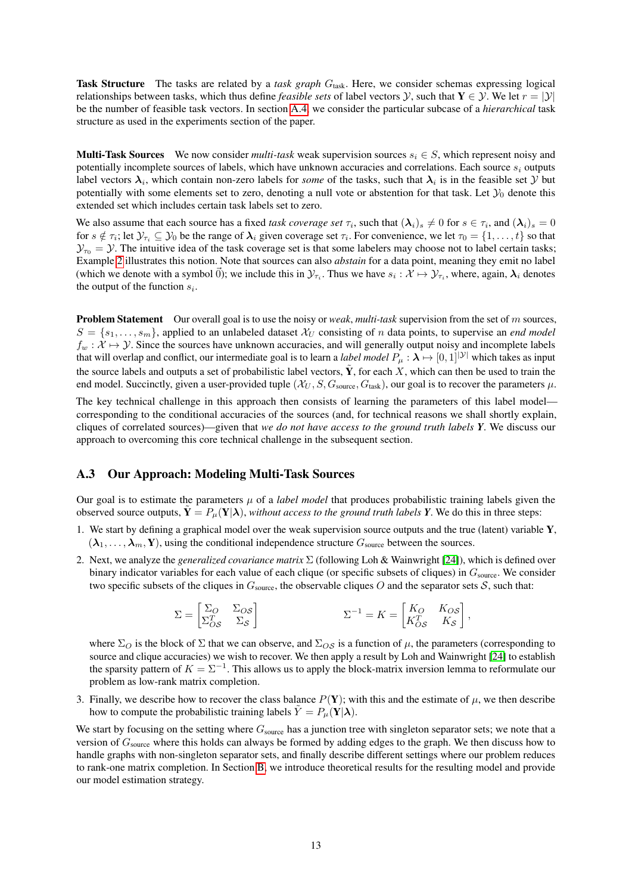Task Structure The tasks are related by a *task graph* G<sub>task</sub>. Here, we consider schemas expressing logical relationships between tasks, which thus define *feasible sets* of label vectors  $\mathcal{Y}$ , such that  $Y \in \mathcal{Y}$ . We let  $r = |\mathcal{Y}|$ be the number of feasible task vectors. In section [A.4,](#page-18-0) we consider the particular subcase of a *hierarchical* task structure as used in the experiments section of the paper.

**Multi-Task Sources** We now consider *multi-task* weak supervision sources  $s_i \in S$ , which represent noisy and potentially incomplete sources of labels, which have unknown accuracies and correlations. Each source  $s_i$  outputs label vectors  $\lambda_i$ , which contain non-zero labels for *some* of the tasks, such that  $\lambda_i$  is in the feasible set  $Y$  but potentially with some elements set to zero, denoting a null vote or abstention for that task. Let  $\mathcal{Y}_0$  denote this extended set which includes certain task labels set to zero.

We also assume that each source has a fixed *task coverage set*  $\tau_i$ , such that  $(\lambda_i)_s \neq 0$  for  $s \in \tau_i$ , and  $(\lambda_i)_s = 0$ for  $s \notin \tau_i$ ; let  $\mathcal{Y}_{\tau_i} \subseteq \mathcal{Y}_0$  be the range of  $\lambda_i$  given coverage set  $\tau_i$ . For convenience, we let  $\tau_0 = \{1, \dots, t\}$  so that  $\mathcal{Y}_{\tau_0} = \mathcal{Y}$ . The intuitive idea of the task coverage set is that some labelers may choose not to label certain tasks; Example [2](#page-18-1) illustrates this notion. Note that sources can also *abstain* for a data point, meaning they emit no label (which we denote with a symbol  $\vec{0}$ ); we include this in  $\mathcal{Y}_{\tau_i}$ . Thus we have  $s_i : \mathcal{X} \mapsto \mathcal{Y}_{\tau_i}$ , where, again,  $\lambda_i$  denotes the output of the function  $s_i$ .

Problem Statement Our overall goal is to use the noisy or *weak*, *multi-task* supervision from the set of m sources,  $S = \{s_1, \ldots, s_m\}$ , applied to an unlabeled dataset  $\mathcal{X}_U$  consisting of n data points, to supervise an *end model*  $f_w : \mathcal{X} \mapsto \mathcal{Y}$ . Since the sources have unknown accuracies, and will generally output noisy and incomplete labels that will overlap and conflict, our intermediate goal is to learn a *label model*  $P_\mu : \lambda \mapsto [0,1]^{|\mathcal{Y}|}$  which takes as input the source labels and outputs a set of probabilistic label vectors,  $\tilde{Y}$ , for each X, which can then be used to train the end model. Succinctly, given a user-provided tuple  $(\mathcal{X}_U, S, G_{\text{source}}, G_{\text{task}})$ , our goal is to recover the parameters  $\mu$ .

The key technical challenge in this approach then consists of learning the parameters of this label model corresponding to the conditional accuracies of the sources (and, for technical reasons we shall shortly explain, cliques of correlated sources)—given that *we do not have access to the ground truth labels Y*. We discuss our approach to overcoming this core technical challenge in the subsequent section.

### <span id="page-12-0"></span>A.3 Our Approach: Modeling Multi-Task Sources

Our goal is to estimate the parameters  $\mu$  of a *label model* that produces probabilistic training labels given the observed source outputs,  $\mathbf{Y} = P_{\mu}(\mathbf{Y}|\lambda)$ , *without access to the ground truth labels Y*. We do this in three steps:

- 1. We start by defining a graphical model over the weak supervision source outputs and the true (latent) variable  $Y$ ,  $(\lambda_1, \ldots, \lambda_m, Y)$ , using the conditional independence structure  $G_{\text{source}}$  between the sources.
- 2. Next, we analyze the *generalized covariance matrix* Σ (following Loh & Wainwright [\[24\]](#page-9-16)), which is defined over binary indicator variables for each value of each clique (or specific subsets of cliques) in  $G_{\text{source}}$ . We consider two specific subsets of the cliques in  $G_{\text{source}}$ , the observable cliques O and the separator sets S, such that:

$$
\Sigma = \begin{bmatrix} \Sigma_O & \Sigma_{OS} \\ \Sigma_{OS}^T & \Sigma_{\mathcal{S}} \end{bmatrix} \qquad \qquad \Sigma^{-1} = K = \begin{bmatrix} K_O & K_{OS} \\ K_{OS}^T & K_{\mathcal{S}} \end{bmatrix},
$$

where  $\Sigma_O$  is the block of  $\Sigma$  that we can observe, and  $\Sigma_{OS}$  is a function of  $\mu$ , the parameters (corresponding to source and clique accuracies) we wish to recover. We then apply a result by Loh and Wainwright [\[24\]](#page-9-16) to establish the sparsity pattern of  $K = \Sigma^{-1}$ . This allows us to apply the block-matrix inversion lemma to reformulate our problem as low-rank matrix completion.

3. Finally, we describe how to recover the class balance  $P(Y)$ ; with this and the estimate of  $\mu$ , we then describe how to compute the probabilistic training labels  $\tilde{Y} = P_{\mu}(\mathbf{Y}|\boldsymbol{\lambda})$ .

We start by focusing on the setting where  $G_{source}$  has a junction tree with singleton separator sets; we note that a version of  $G_{\text{source}}$  where this holds can always be formed by adding edges to the graph. We then discuss how to handle graphs with non-singleton separator sets, and finally describe different settings where our problem reduces to rank-one matrix completion. In Section [B,](#page-19-0) we introduce theoretical results for the resulting model and provide our model estimation strategy.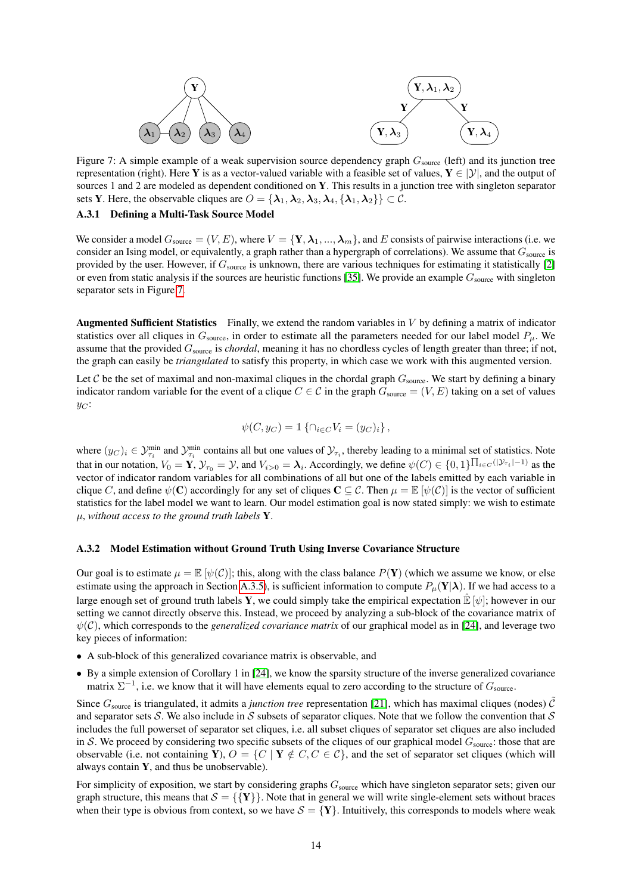<span id="page-13-0"></span>

Figure 7: A simple example of a weak supervision source dependency graph  $G_{\text{source}}$  (left) and its junction tree representation (right). Here Y is as a vector-valued variable with a feasible set of values,  $Y \in |\mathcal{Y}|$ , and the output of sources 1 and 2 are modeled as dependent conditioned on Y. This results in a junction tree with singleton separator sets Y. Here, the observable cliques are  $O = {\lambda_1, \lambda_2, \lambda_3, \lambda_4, \{\lambda_1, \lambda_2\}} \subset C$ .

#### A.3.1 Defining a Multi-Task Source Model

We consider a model  $G_{\text{source}} = (V, E)$ , where  $V = \{Y, \lambda_1, ..., \lambda_m\}$ , and E consists of pairwise interactions (i.e. we consider an Ising model, or equivalently, a graph rather than a hypergraph of correlations). We assume that  $G_{\text{source}}$  is provided by the user. However, if  $G_{source}$  is unknown, there are various techniques for estimating it statistically [\[2\]](#page-9-6) or even from static analysis if the sources are heuristic functions [\[35\]](#page-10-5). We provide an example  $G_{\text{source}}$  with singleton separator sets in Figure [7.](#page-13-0)

Augmented Sufficient Statistics Finally, we extend the random variables in V by defining a matrix of indicator statistics over all cliques in  $G_{\text{source}}$ , in order to estimate all the parameters needed for our label model  $P_{\mu}$ . We assume that the provided Gsource is *chordal*, meaning it has no chordless cycles of length greater than three; if not, the graph can easily be *triangulated* to satisfy this property, in which case we work with this augmented version.

Let C be the set of maximal and non-maximal cliques in the chordal graph  $G_{\text{source}}$ . We start by defining a binary indicator random variable for the event of a clique  $C \in \mathcal{C}$  in the graph  $G_{\text{source}} = (V, E)$  taking on a set of values  $y_C$ :

$$
\psi(C, y_C) = \mathbb{1}\left\{\cap_{i \in C} V_i = (y_C)_i\right\},\,
$$

where  $(y_C)_i \in \mathcal{Y}_{\tau_i}^{\min}$  and  $\mathcal{Y}_{\tau_i}^{\min}$  contains all but one values of  $\mathcal{Y}_{\tau_i}$ , thereby leading to a minimal set of statistics. Note that in our notation,  $V_0 = \mathbf{Y}$ ,  $\mathcal{Y}_{\tau_0} = \mathcal{Y}$ , and  $V_{i>0} = \lambda_i$ . Accordingly, we define  $\psi(C) \in \{0,1\}^{\prod_{i \in C}(|\mathcal{Y}_{\tau_i}| - 1)}$  as the vector of indicator random variables for all combinations of all but one of the labels emitted by each variable in clique C, and define  $\psi(\mathbf{C})$  accordingly for any set of cliques  $\mathbf{C} \subseteq \mathcal{C}$ . Then  $\mu = \mathbb{E}[\psi(\mathcal{C})]$  is the vector of sufficient statistics for the label model we want to learn. Our model estimation goal is now stated simply: we wish to estimate µ, *without access to the ground truth labels* Y.

#### A.3.2 Model Estimation without Ground Truth Using Inverse Covariance Structure

Our goal is to estimate  $\mu = \mathbb{E}[\psi(\mathcal{C})]$ ; this, along with the class balance  $P(\mathbf{Y})$  (which we assume we know, or else estimate using the approach in Section [A.3.5\)](#page-17-0), is sufficient information to compute  $P_\mu(Y|\lambda)$ . If we had access to a large enough set of ground truth labels Y, we could simply take the empirical expectation  $\mathbb{E}[\psi]$ ; however in our setting we cannot directly observe this. Instead, we proceed by analyzing a sub-block of the covariance matrix of  $\psi(\mathcal{C})$ , which corresponds to the *generalized covariance matrix* of our graphical model as in [\[24\]](#page-9-16), and leverage two key pieces of information:

- A sub-block of this generalized covariance matrix is observable, and
- By a simple extension of Corollary 1 in [\[24\]](#page-9-16), we know the sparsity structure of the inverse generalized covariance matrix  $\Sigma^{-1}$ , i.e. we know that it will have elements equal to zero according to the structure of  $G_{\text{source}}$ .

Since  $G_{\text{source}}$  is triangulated, it admits a *junction tree* representation [\[21\]](#page-9-20), which has maximal cliques (nodes)  $\tilde{C}$ and separator sets S. We also include in S subsets of separator cliques. Note that we follow the convention that S includes the full powerset of separator set cliques, i.e. all subset cliques of separator set cliques are also included in S. We proceed by considering two specific subsets of the cliques of our graphical model  $G_{\text{source}}$ : those that are observable (i.e. not containing Y),  $O = \{C \mid Y \notin C, C \in C\}$ , and the set of separator set cliques (which will always contain  $Y$ , and thus be unobservable).

For simplicity of exposition, we start by considering graphs  $G_{source}$  which have singleton separator sets; given our graph structure, this means that  $S = \{ \{Y\} \}$ . Note that in general we will write single-element sets without braces when their type is obvious from context, so we have  $S = \{Y\}$ . Intuitively, this corresponds to models where weak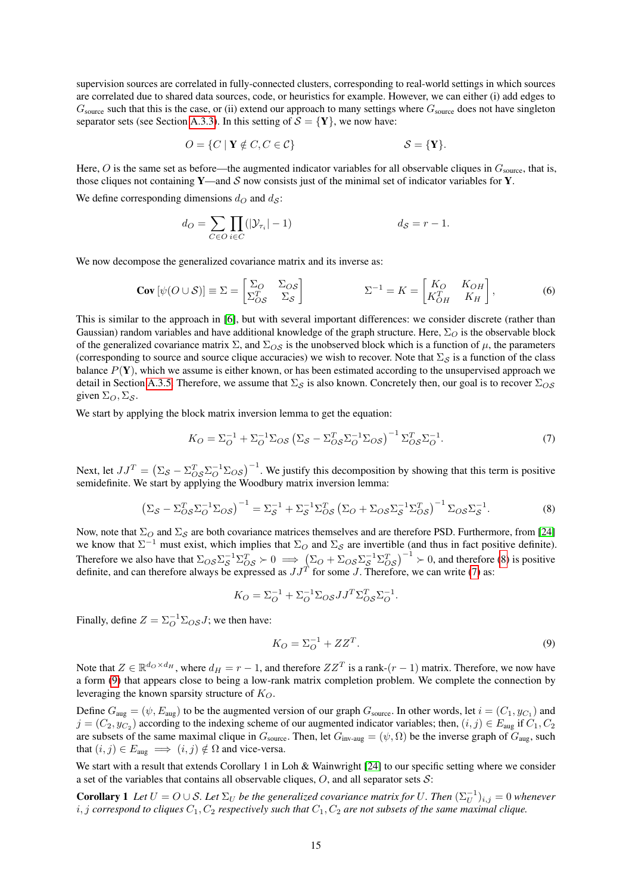supervision sources are correlated in fully-connected clusters, corresponding to real-world settings in which sources are correlated due to shared data sources, code, or heuristics for example. However, we can either (i) add edges to  $G_{\text{source}}$  such that this is the case, or (ii) extend our approach to many settings where  $G_{\text{source}}$  does not have singleton separator sets (see Section [A.3.3\)](#page-16-0). In this setting of  $S = \{Y\}$ , we now have:

$$
O = \{ C \mid \mathbf{Y} \notin C, C \in \mathcal{C} \} \qquad S = \{ \mathbf{Y} \}.
$$

Here,  $O$  is the same set as before—the augmented indicator variables for all observable cliques in  $G_{\text{source}}$ , that is, those cliques not containing Y—and S now consists just of the minimal set of indicator variables for Y.

We define corresponding dimensions  $d_O$  and  $d_S$ :

$$
d_O = \sum_{C \in O} \prod_{i \in C} (|\mathcal{Y}_{\tau_i}| - 1) \qquad d_S = r - 1.
$$

We now decompose the generalized covariance matrix and its inverse as:

$$
\text{Cov}\left[\psi(O \cup \mathcal{S})\right] \equiv \Sigma = \begin{bmatrix} \Sigma_O & \Sigma_{OS} \\ \Sigma_{OS}^T & \Sigma_{\mathcal{S}} \end{bmatrix} \qquad \qquad \Sigma^{-1} = K = \begin{bmatrix} K_O & K_{OH} \\ K_{OH}^T & K_H \end{bmatrix},\tag{6}
$$

This is similar to the approach in [\[6\]](#page-9-18), but with several important differences: we consider discrete (rather than Gaussian) random variables and have additional knowledge of the graph structure. Here,  $\Sigma_O$  is the observable block of the generalized covariance matrix  $\Sigma$ , and  $\Sigma_{OS}$  is the unobserved block which is a function of  $\mu$ , the parameters (corresponding to source and source clique accuracies) we wish to recover. Note that  $\Sigma_{\mathcal{S}}$  is a function of the class balance  $P(Y)$ , which we assume is either known, or has been estimated according to the unsupervised approach we detail in Section [A.3.5.](#page-17-0) Therefore, we assume that  $\Sigma_{\mathcal{S}}$  is also known. Concretely then, our goal is to recover  $\Sigma_{\mathcal{OS}}$ given  $\Sigma_O$ ,  $\Sigma_S$ .

We start by applying the block matrix inversion lemma to get the equation:

$$
K_O = \Sigma_O^{-1} + \Sigma_O^{-1} \Sigma_{OS} \left( \Sigma_S - \Sigma_{OS}^T \Sigma_O^{-1} \Sigma_{OS} \right)^{-1} \Sigma_{OS}^T \Sigma_O^{-1}.
$$
 (7)

Next, let  $JJ^T = (\Sigma_S - \Sigma_{OS}^T \Sigma_O^{-1} \Sigma_{OS})^{-1}$ . We justify this decomposition by showing that this term is positive semidefinite. We start by applying the Woodbury matrix inversion lemma:

$$
\left(\Sigma_{\mathcal{S}} - \Sigma_{\mathcal{O}\mathcal{S}}^T \Sigma_{\mathcal{O}}^{-1} \Sigma_{\mathcal{O}\mathcal{S}}\right)^{-1} = \Sigma_{\mathcal{S}}^{-1} + \Sigma_{\mathcal{S}}^{-1} \Sigma_{\mathcal{O}\mathcal{S}}^T \left(\Sigma_{\mathcal{O}} + \Sigma_{\mathcal{O}\mathcal{S}} \Sigma_{\mathcal{S}}^{-1} \Sigma_{\mathcal{O}\mathcal{S}}^T\right)^{-1} \Sigma_{\mathcal{O}\mathcal{S}} \Sigma_{\mathcal{S}}^{-1}.
$$
\n(8)

Now, note that  $\Sigma_O$  and  $\Sigma_S$  are both covariance matrices themselves and are therefore PSD. Furthermore, from [\[24\]](#page-9-16) we know that  $\Sigma^{-1}$  must exist, which implies that  $\Sigma_O$  and  $\Sigma_S$  are invertible (and thus in fact positive definite). Therefore we also have that  $\Sigma_{OS} \Sigma_S^{-1} \Sigma_{OS}^T \succ 0 \implies (\Sigma_O + \Sigma_{OS} \Sigma_S^{-1} \Sigma_{OS}^T)^{-1} \succ 0$ , and therefore [\(8\)](#page-14-0) is positive definite, and can therefore always be expressed as  $JJ^T$  for some J. Therefore, we can write [\(7\)](#page-14-1) as:

$$
K_O = \Sigma_O^{-1} + \Sigma_O^{-1} \Sigma_{OS} J J^T \Sigma_{OS}^T \Sigma_O^{-1}.
$$

Finally, define  $Z = \sum_{O}^{-1} \sum_{OS} J$ ; we then have:

<span id="page-14-2"></span><span id="page-14-1"></span><span id="page-14-0"></span>
$$
K_O = \Sigma_O^{-1} + ZZ^T. \tag{9}
$$

Note that  $Z \in \mathbb{R}^{d_O \times d_H}$ , where  $d_H = r - 1$ , and therefore  $ZZ^T$  is a rank- $(r - 1)$  matrix. Therefore, we now have a form [\(9\)](#page-14-2) that appears close to being a low-rank matrix completion problem. We complete the connection by leveraging the known sparsity structure of  $K_O$ .

Define  $G_{\text{aug}} = (\psi, E_{\text{aug}})$  to be the augmented version of our graph  $G_{\text{source}}$ . In other words, let  $i = (C_1, y_{C_1})$  and  $j = (C_2, y_{C_2})$  according to the indexing scheme of our augmented indicator variables; then,  $(i, j) \in E_{\text{aug}}$  if  $C_1, C_2$ are subsets of the same maximal clique in  $G_{source}$ . Then, let  $G_{inv-avg} = (\psi, \Omega)$  be the inverse graph of  $G_{aug}$ , such that  $(i, j) \in E_{\text{aug}} \implies (i, j) \notin \Omega$  and vice-versa.

We start with a result that extends Corollary 1 in Loh & Wainwright [\[24\]](#page-9-16) to our specific setting where we consider a set of the variables that contains all observable cliques,  $O$ , and all separator sets  $S$ :

**Corollary 1** Let  $U = O \cup S$ . Let  $\Sigma_U$  be the generalized covariance matrix for U. Then  $(\Sigma_U^{-1})_{i,j} = 0$  whenever  $i, j$  *correspond to cliques*  $C_1, C_2$  *respectively such that*  $C_1, C_2$  *are not subsets of the same maximal clique.*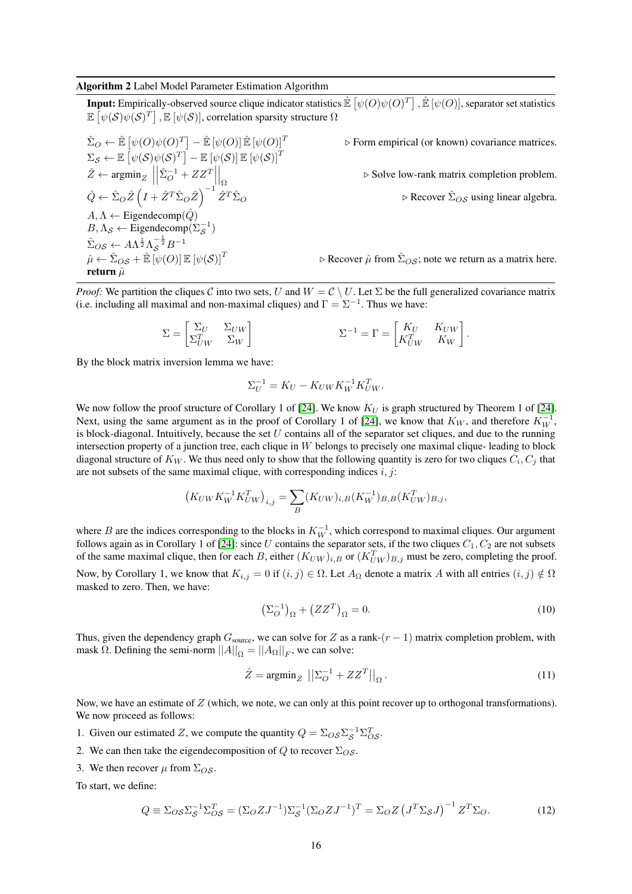#### <span id="page-15-0"></span>Algorithm 2 Label Model Parameter Estimation Algorithm

**Input:** Empirically-observed source clique indicator statistics  $\mathbb{\hat{E}}\left[\psi(O)\psi(O)^{T}\right], \mathbb{\hat{E}}\left[\psi(O)\right],$  separator set statistics  $\mathbb{E}\left[\psi(\mathcal{S})\psi(\mathcal{S})^T\right],\mathbb{E}\left[\psi(\mathcal{S})\right],$  correlation sparsity structure  $\Omega$ 

$$
\hat{\Sigma}_O \leftarrow \hat{\mathbb{E}} \left[ \psi(O)\psi(O)^T \right] - \hat{\mathbb{E}} \left[ \psi(O) \right] \hat{\mathbb{E}} \left[ \psi(O) \right]^T
$$
\n
$$
\Sigma_S \leftarrow \mathbb{E} \left[ \psi(S)\psi(S)^T \right] - \mathbb{E} \left[ \psi(S) \right] \mathbb{E} \left[ \psi(S) \right]^T
$$
\n
$$
\hat{Z} \leftarrow \operatorname{argmin}_Z \left\| \hat{\Sigma}_O^{-1} + ZZ^T \right\|_{\Omega}
$$
\n
$$
\hat{Q} \leftarrow \hat{\Sigma}_O \hat{Z} \left( I + \hat{Z}^T \hat{\Sigma}_O \hat{Z} \right)^{-1} \hat{Z}^T \hat{\Sigma}_O
$$
\n
$$
A, \Lambda \leftarrow \text{Eigendecomp}(\hat{Q})
$$
\n
$$
B, \Lambda_S \leftarrow \text{Eigendecomp}(\Sigma_S^{-1})
$$
\n
$$
\hat{\Sigma}_{OS} \leftarrow A\Lambda^{\frac{1}{2}} \Lambda_S^{-\frac{1}{2}} B^{-1}
$$
\n
$$
\hat{\mu} \leftarrow \hat{\Sigma}_{OS} + \hat{\mathbb{E}} \left[ \psi(O) \right] \mathbb{E} \left[ \psi(S) \right]^T
$$
\nreturn  $\hat{\mu}$ 

 $\triangleright$  Form empirical (or known) covariance matrices.

 $\triangleright$  Solve low-rank matrix completion problem.

 $\triangleright$  Recover  $\hat{\Sigma}_{OS}$  using linear algebra.

 $\triangleright$  Recover  $\hat{\mu}$  from  $\hat{\Sigma}_{OS}$ ; note we return as a matrix here.

*Proof:* We partition the cliques C into two sets, U and  $W = C \setminus U$ . Let  $\Sigma$  be the full generalized covariance matrix (i.e. including all maximal and non-maximal cliques) and  $\Gamma = \Sigma^{-1}$ . Thus we have:

$$
\Sigma = \begin{bmatrix} \Sigma_U & \Sigma_{UW} \\ \Sigma_{UW}^T & \Sigma_W \end{bmatrix} \qquad \qquad \Sigma^{-1} = \Gamma = \begin{bmatrix} K_U & K_{UW} \\ K_{UW}^T & K_W \end{bmatrix}.
$$

By the block matrix inversion lemma we have:

$$
\Sigma_U^{-1} = K_U - K_{UW} K_W^{-1} K_{UW}^T.
$$

We now follow the proof structure of Corollary 1 of [\[24\]](#page-9-16). We know  $K_U$  is graph structured by Theorem 1 of [24]. Next, using the same argument as in the proof of Corollary 1 of [\[24\]](#page-9-16), we know that  $K_W$ , and therefore  $K_W^{-1}$ , is block-diagonal. Intuitively, because the set  $U$  contains all of the separator set cliques, and due to the running intersection property of a junction tree, each clique in W belongs to precisely one maximal clique- leading to block diagonal structure of  $K_W$ . We thus need only to show that the following quantity is zero for two cliques  $C_i, C_j$  that are not subsets of the same maximal clique, with corresponding indices  $i, j$ :

$$
(K_{UW}K_W^{-1}K_{UW}^T)_{i,j} = \sum_B (K_{UW})_{i,B}(K_W^{-1})_{B,B}(K_{UW}^T)_{B,j},
$$

where B are the indices corresponding to the blocks in  $K_W^{-1}$ , which correspond to maximal cliques. Our argument follows again as in Corollary 1 of [\[24\]](#page-9-16): since U contains the separator sets, if the two cliques  $C_1, C_2$  are not subsets of the same maximal clique, then for each B, either  $(K_{UW})_{i,B}$  or  $(K_{UW}^T)_{B,j}$  must be zero, completing the proof.

Now, by Corollary 1, we know that  $K_{i,j} = 0$  if  $(i,j) \in \Omega$ . Let  $A_{\Omega}$  denote a matrix A with all entries  $(i,j) \notin \Omega$ masked to zero. Then, we have:

$$
\left(\Sigma_O^{-1}\right)_{\Omega} + \left(ZZ^T\right)_{\Omega} = 0. \tag{10}
$$

Thus, given the dependency graph  $G_{\text{source}}$ , we can solve for Z as a rank- $(r - 1)$  matrix completion problem, with mask  $\Omega$ . Defining the semi-norm  $||A||_{\Omega} = ||A_{\Omega}||_F$ , we can solve:

$$
\hat{Z} = \operatorname{argmin}_{Z} \left| \left| \Sigma_{O}^{-1} + ZZ^{T} \right| \right|_{\Omega}.
$$
\n(11)

Now, we have an estimate of  $Z$  (which, we note, we can only at this point recover up to orthogonal transformations). We now proceed as follows:

- 1. Given our estimated Z, we compute the quantity  $Q = \sum_{OS} \sum_{S}^{-1} \sum_{OS}^{T}$ .
- 2. We can then take the eigendecomposition of Q to recover  $\Sigma_{OS}$ .
- 3. We then recover  $\mu$  from  $\Sigma_{OS}$ .

To start, we define:

$$
Q \equiv \Sigma_{OS} \Sigma_S^{-1} \Sigma_{OS}^T = (\Sigma_O Z J^{-1}) \Sigma_S^{-1} (\Sigma_O Z J^{-1})^T = \Sigma_O Z \left( J^T \Sigma_S J \right)^{-1} Z^T \Sigma_O.
$$
 (12)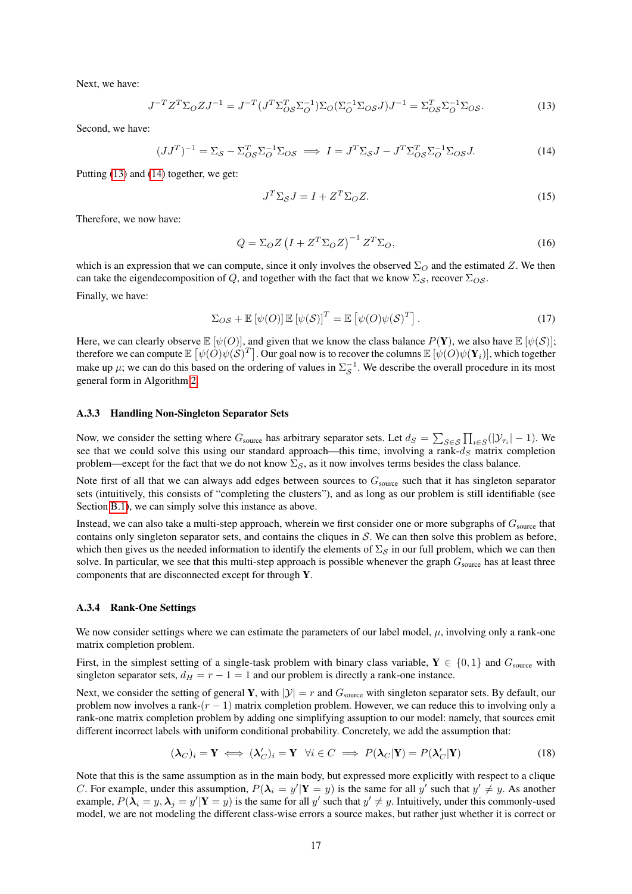Next, we have:

$$
J^{-T}Z^T\Sigma_O ZJ^{-1} = J^{-T}(J^T\Sigma_{OS}^T\Sigma_O^{-1})\Sigma_O(\Sigma_O^{-1}\Sigma_{OS}J)J^{-1} = \Sigma_{OS}^T\Sigma_O^{-1}\Sigma_{OS}.
$$
 (13)

Second, we have:

$$
(JJ^T)^{-1} = \Sigma_{\mathcal{S}} - \Sigma_{\mathcal{O}\mathcal{S}}^T \Sigma_{\mathcal{O}}^{-1} \Sigma_{\mathcal{O}\mathcal{S}} \implies I = J^T \Sigma_{\mathcal{S}} J - J^T \Sigma_{\mathcal{O}\mathcal{S}}^T \Sigma_{\mathcal{O}}^{-1} \Sigma_{\mathcal{O}\mathcal{S}} J. \tag{14}
$$

Putting [\(13\)](#page-16-1) and [\(14\)](#page-16-2) together, we get:

<span id="page-16-2"></span><span id="page-16-1"></span>
$$
J^T \Sigma_S J = I + Z^T \Sigma_O Z. \tag{15}
$$

Therefore, we now have:

$$
Q = \Sigma_O Z \left( I + Z^T \Sigma_O Z \right)^{-1} Z^T \Sigma_O,
$$
\n(16)

which is an expression that we can compute, since it only involves the observed  $\Sigma_O$  and the estimated Z. We then can take the eigendecomposition of Q, and together with the fact that we know  $\Sigma_{\mathcal{S}}$ , recover  $\Sigma_{\mathcal{O}\mathcal{S}}$ .

Finally, we have:

$$
\Sigma_{OS} + \mathbb{E}\left[\psi(O)\right] \mathbb{E}\left[\psi(\mathcal{S})\right]^T = \mathbb{E}\left[\psi(O)\psi(\mathcal{S})^T\right].\tag{17}
$$

Here, we can clearly observe  $\mathbb{E} [\psi(0)]$ , and given that we know the class balance  $P(Y)$ , we also have  $\mathbb{E} [\psi(S)]$ ; therefore we can compute  $\mathbb{E}[\psi(O)\psi(S)^T]$ . Our goal now is to recover the columns  $\mathbb{E}[\psi(O)\psi(\mathbf{Y}_i)]$ , which together make up  $\mu$ ; we can do this based on the ordering of values in  $\Sigma_S^{-1}$ . We describe the overall procedure in its most general form in Algorithm [2.](#page-15-0)

#### <span id="page-16-0"></span>A.3.3 Handling Non-Singleton Separator Sets

Now, we consider the setting where  $G_{\text{source}}$  has arbitrary separator sets. Let  $d_S = \sum_{S \in \mathcal{S}} \prod_{i \in S} (|\mathcal{Y}_{\tau_i}| - 1)$ . We see that we could solve this using our standard approach—this time, involving a rank- $d<sub>S</sub>$  matrix completion problem—except for the fact that we do not know  $\Sigma_{\mathcal{S}}$ , as it now involves terms besides the class balance.

Note first of all that we can always add edges between sources to  $G_{source}$  such that it has singleton separator sets (intuitively, this consists of "completing the clusters"), and as long as our problem is still identifiable (see Section [B.1\)](#page-19-1), we can simply solve this instance as above.

Instead, we can also take a multi-step approach, wherein we first consider one or more subgraphs of  $G_{\text{source}}$  that contains only singleton separator sets, and contains the cliques in  $S$ . We can then solve this problem as before, which then gives us the needed information to identify the elements of  $\Sigma_{\mathcal{S}}$  in our full problem, which we can then solve. In particular, we see that this multi-step approach is possible whenever the graph  $G_{\text{source}}$  has at least three components that are disconnected except for through Y.

#### <span id="page-16-4"></span>A.3.4 Rank-One Settings

We now consider settings where we can estimate the parameters of our label model,  $\mu$ , involving only a rank-one matrix completion problem.

First, in the simplest setting of a single-task problem with binary class variable,  $Y \in \{0, 1\}$  and  $G_{\text{source}}$  with singleton separator sets,  $d_H = r - 1 = 1$  and our problem is directly a rank-one instance.

Next, we consider the setting of general Y, with  $|y| = r$  and  $G_{\text{source}}$  with singleton separator sets. By default, our problem now involves a rank- $(r - 1)$  matrix completion problem. However, we can reduce this to involving only a rank-one matrix completion problem by adding one simplifying assuption to our model: namely, that sources emit different incorrect labels with uniform conditional probability. Concretely, we add the assumption that:

<span id="page-16-3"></span>
$$
(\lambda_C)_i = \mathbf{Y} \iff (\lambda_C')_i = \mathbf{Y} \quad \forall i \in C \implies P(\lambda_C|\mathbf{Y}) = P(\lambda_C'|\mathbf{Y}) \tag{18}
$$

Note that this is the same assumption as in the main body, but expressed more explicitly with respect to a clique C. For example, under this assumption,  $P(\lambda_i = y' | Y = y)$  is the same for all y' such that  $y' \neq y$ . As another example,  $P(\lambda_i = y, \lambda_j = y' | Y = y)$  is the same for all y' such that  $y' \neq y$ . Intuitively, under this commonly-used model, we are not modeling the different class-wise errors a source makes, but rather just whether it is correct or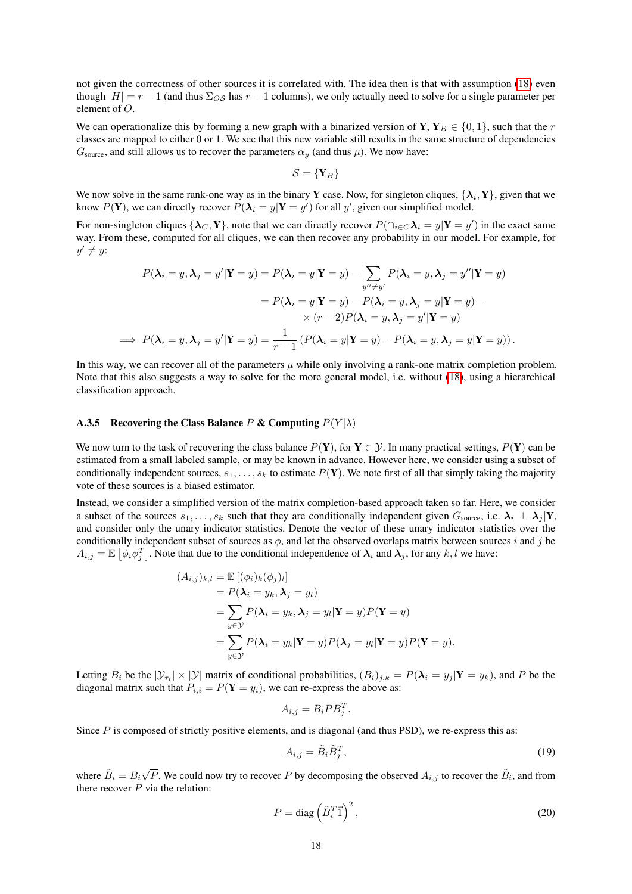not given the correctness of other sources it is correlated with. The idea then is that with assumption [\(18\)](#page-16-3) even though  $|H| = r - 1$  (and thus  $\Sigma_{OS}$  has  $r - 1$  columns), we only actually need to solve for a single parameter per element of O.

We can operationalize this by forming a new graph with a binarized version of Y,  $Y_B \in \{0, 1\}$ , such that the r classes are mapped to either 0 or 1. We see that this new variable still results in the same structure of dependencies  $G_{\text{source}}$ , and still allows us to recover the parameters  $\alpha_y$  (and thus  $\mu$ ). We now have:

$$
\mathcal{S} = \{ \mathbf{Y}_B \}
$$

We now solve in the same rank-one way as in the binary Y case. Now, for singleton cliques,  $\{\lambda_i, Y\}$ , given that we know  $P(Y)$ , we can directly recover  $P(\lambda_i = y | Y = y')$  for all y', given our simplified model.

For non-singleton cliques  $\{\lambda_C, Y\}$ , note that we can directly recover  $P(\bigcap_{i\in C}\lambda_i = y | Y = y')$  in the exact same way. From these, computed for all cliques, we can then recover any probability in our model. For example, for  $y' \neq y$ :

$$
P(\lambda_i = y, \lambda_j = y' | \mathbf{Y} = y) = P(\lambda_i = y | \mathbf{Y} = y) - \sum_{y'' \neq y'} P(\lambda_i = y, \lambda_j = y'' | \mathbf{Y} = y)
$$
  

$$
= P(\lambda_i = y | \mathbf{Y} = y) - P(\lambda_i = y, \lambda_j = y | \mathbf{Y} = y) - \times (r - 2) P(\lambda_i = y, \lambda_j = y' | \mathbf{Y} = y)
$$
  

$$
\implies P(\lambda_i = y, \lambda_j = y' | \mathbf{Y} = y) = \frac{1}{r - 1} \left( P(\lambda_i = y | \mathbf{Y} = y) - P(\lambda_i = y, \lambda_j = y | \mathbf{Y} = y) \right).
$$

In this way, we can recover all of the parameters  $\mu$  while only involving a rank-one matrix completion problem. Note that this also suggests a way to solve for the more general model, i.e. without [\(18\)](#page-16-3), using a hierarchical classification approach.

#### <span id="page-17-0"></span>A.3.5 Recovering the Class Balance P & Computing  $P(Y|\lambda)$

We now turn to the task of recovering the class balance  $P(Y)$ , for  $Y \in \mathcal{Y}$ . In many practical settings,  $P(Y)$  can be estimated from a small labeled sample, or may be known in advance. However here, we consider using a subset of conditionally independent sources,  $s_1, \ldots, s_k$  to estimate  $P(Y)$ . We note first of all that simply taking the majority vote of these sources is a biased estimator.

Instead, we consider a simplified version of the matrix completion-based approach taken so far. Here, we consider a subset of the sources  $s_1, \ldots, s_k$  such that they are conditionally independent given  $G_{\text{source}}$ , i.e.  $\lambda_i \perp \lambda_j | Y$ , and consider only the unary indicator statistics. Denote the vector of these unary indicator statistics over the conditionally independent subset of sources as  $\phi$ , and let the observed overlaps matrix between sources i and j be  $A_{i,j} = \mathbb{E} \left[ \phi_i \phi_j^T \right]$ . Note that due to the conditional independence of  $\lambda_i$  and  $\lambda_j$ , for any k, l we have:

$$
(A_{i,j})_{k,l} = \mathbb{E} [(\phi_i)_k (\phi_j)_l]
$$
  
=  $P(\lambda_i = y_k, \lambda_j = y_l)$   
=  $\sum_{y \in \mathcal{Y}} P(\lambda_i = y_k, \lambda_j = y_l | \mathbf{Y} = y) P(\mathbf{Y} = y)$   
=  $\sum_{y \in \mathcal{Y}} P(\lambda_i = y_k | \mathbf{Y} = y) P(\lambda_j = y_l | \mathbf{Y} = y) P(\mathbf{Y} = y).$ 

Letting  $B_i$  be the  $|\mathcal{Y}_{\tau_i}| \times |\mathcal{Y}|$  matrix of conditional probabilities,  $(B_i)_{j,k} = P(\lambda_i = y_j | Y = y_k)$ , and P be the diagonal matrix such that  $P_{i,i} = P(Y = y_i)$ , we can re-express the above as:

$$
A_{i,j} = B_i P B_j^T.
$$

Since P is composed of strictly positive elements, and is diagonal (and thus PSD), we re-express this as:

<span id="page-17-2"></span><span id="page-17-1"></span>
$$
A_{i,j} = \tilde{B}_i \tilde{B}_j^T,\tag{19}
$$

where  $\tilde{B}_i = B_i$  $\sqrt{P}$ . We could now try to recover P by decomposing the observed  $A_{i,j}$  to recover the  $\tilde{B}_i$ , and from there recover  $P$  via the relation:

$$
P = \text{diag}\left(\tilde{B}_i^T \vec{1}\right)^2,\tag{20}
$$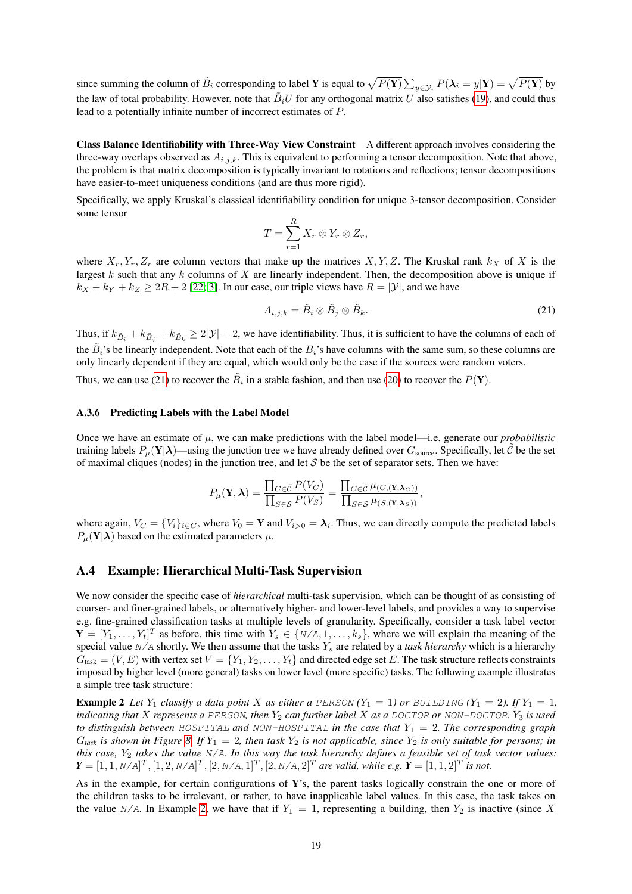since summing the column of  $\tilde{B}_i$  corresponding to label **Y** is equal to  $\sqrt{P(\mathbf{Y})} \sum_{y \in \mathcal{Y}_i} P(\boldsymbol{\lambda}_i = y | \mathbf{Y}) = \sqrt{P(\mathbf{Y})}$  by the law of total probability. However, note that  $B_iU$  for any orthogonal matrix U also satisfies [\(19\)](#page-17-1), and could thus lead to a potentially infinite number of incorrect estimates of P.

Class Balance Identifiability with Three-Way View Constraint A different approach involves considering the three-way overlaps observed as  $A_{i,j,k}$ . This is equivalent to performing a tensor decomposition. Note that above, the problem is that matrix decomposition is typically invariant to rotations and reflections; tensor decompositions have easier-to-meet uniqueness conditions (and are thus more rigid).

Specifically, we apply Kruskal's classical identifiability condition for unique 3-tensor decomposition. Consider some tensor

$$
T=\sum_{r=1}^R X_r\otimes Y_r\otimes Z_r,
$$

where  $X_r, Y_r, Z_r$  are column vectors that make up the matrices  $X, Y, Z$ . The Kruskal rank  $k_X$  of X is the largest  $k$  such that any  $k$  columns of  $X$  are linearly independent. Then, the decomposition above is unique if  $k_X + k_Y + k_Z \geq 2R + 2$  [\[22;](#page-9-21) [3\]](#page-9-22). In our case, our triple views have  $R = |\mathcal{Y}|$ , and we have

<span id="page-18-2"></span>
$$
A_{i,j,k} = \tilde{B}_i \otimes \tilde{B}_j \otimes \tilde{B}_k. \tag{21}
$$

Thus, if  $k_{\tilde{B}_i} + k_{\tilde{B}_j} + k_{\tilde{B}_k} \ge 2|\mathcal{Y}| + 2$ , we have identifiability. Thus, it is sufficient to have the columns of each of the  $B_i$ 's be linearly independent. Note that each of the  $B_i$ 's have columns with the same sum, so these columns are only linearly dependent if they are equal, which would only be the case if the sources were random voters.

Thus, we can use [\(21\)](#page-18-2) to recover the  $\tilde{B}_i$  in a stable fashion, and then use [\(20\)](#page-17-2) to recover the  $P(Y)$ .

#### A.3.6 Predicting Labels with the Label Model

Once we have an estimate of  $\mu$ , we can make predictions with the label model—i.e. generate our *probabilistic* training labels  $P_\mu(Y|\lambda)$ —using the junction tree we have already defined over  $G_{\text{source}}$ . Specifically, let  $\hat{C}$  be the set of maximal cliques (nodes) in the junction tree, and let  $S$  be the set of separator sets. Then we have:

$$
P_{\mu}(\mathbf{Y}, \boldsymbol{\lambda}) = \frac{\prod_{C \in \tilde{\mathcal{C}}} P(V_C)}{\prod_{S \in \mathcal{S}} P(V_S)} = \frac{\prod_{C \in \tilde{\mathcal{C}}} \mu_{(C, (\mathbf{Y}, \boldsymbol{\lambda}_C))}}{\prod_{S \in \mathcal{S}} \mu_{(S, (\mathbf{Y}, \boldsymbol{\lambda}_S))}},
$$

where again,  $V_C = \{V_i\}_{i \in C}$ , where  $V_0 = \mathbf{Y}$  and  $V_{i>0} = \lambda_i$ . Thus, we can directly compute the predicted labels  $P_{\mu}(\mathbf{Y}|\boldsymbol{\lambda})$  based on the estimated parameters  $\mu$ .

#### <span id="page-18-0"></span>A.4 Example: Hierarchical Multi-Task Supervision

We now consider the specific case of *hierarchical* multi-task supervision, which can be thought of as consisting of coarser- and finer-grained labels, or alternatively higher- and lower-level labels, and provides a way to supervise e.g. fine-grained classification tasks at multiple levels of granularity. Specifically, consider a task label vector  $\mathbf{Y} = [Y_1, \dots, Y_t]^T$  as before, this time with  $Y_s \in \{N/A, 1, \dots, k_s\}$ , where we will explain the meaning of the special value N/A shortly. We then assume that the tasks  $Y_s$  are related by a *task hierarchy* which is a hierarchy  $G_{\text{task}} = (V, E)$  with vertex set  $V = \{Y_1, Y_2, \ldots, Y_t\}$  and directed edge set E. The task structure reflects constraints imposed by higher level (more general) tasks on lower level (more specific) tasks. The following example illustrates a simple tree task structure:

<span id="page-18-1"></span>**Example 2** Let  $Y_1$  *classify a data point* X *as either a PERSON*  $(Y_1 = 1)$  *or BUILDING*  $(Y_1 = 2)$ *. If*  $Y_1 = 1$ *, indicating that* X *represents a PERSON, then*  $Y_2$  *can further label* X *as a DOCTOR or NON-DOCTOR.*  $Y_3$  *is used to distinguish between* HOSPITAL and NON-HOSPITAL *in the case that*  $Y_1 = 2$ *. The corresponding graph*  $G_{task}$  *is shown in Figure* [8.](#page-19-2) If  $Y_1 = 2$ , then task  $Y_2$  *is not applicable, since*  $Y_2$  *is only suitable for persons; in this case,* Y<sup>2</sup> *takes the value* N/A*. In this way the task hierarchy defines a feasible set of task vector values:*  $\bm{Y}=[1,1,N/A]^T,[1,2,N/A]^T,[2,N/A,1]^T,[2,N/A,2]^T$  are valid, while e.g.  $\bm{Y}=[1,1,2]^T$  is not.

As in the example, for certain configurations of Y's, the parent tasks logically constrain the one or more of the children tasks to be irrelevant, or rather, to have inapplicable label values. In this case, the task takes on the value N/A. In Example [2,](#page-18-1) we have that if  $Y_1 = 1$ , representing a building, then  $Y_2$  is inactive (since X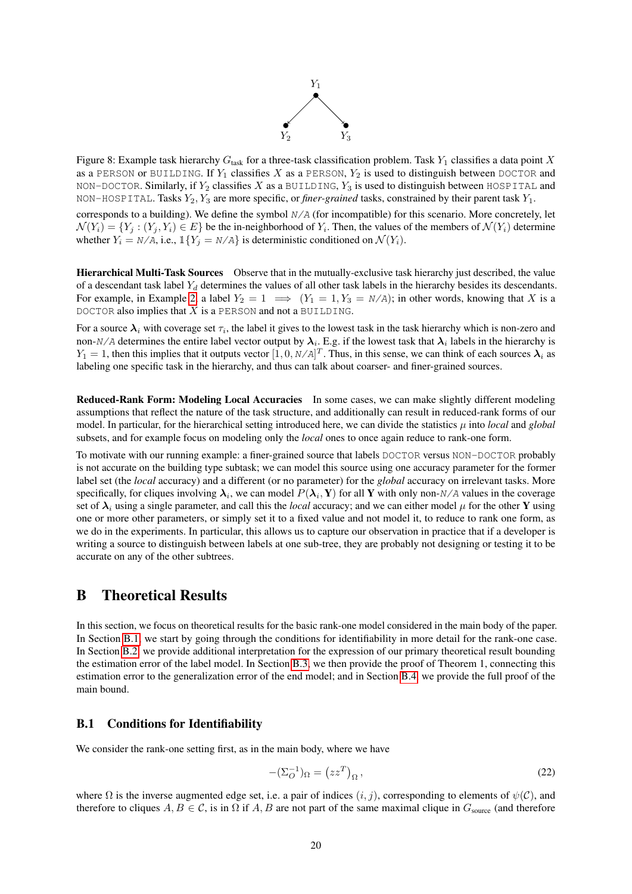

<span id="page-19-2"></span>Figure 8: Example task hierarchy  $G_{\text{task}}$  for a three-task classification problem. Task  $Y_1$  classifies a data point X as a PERSON or BUILDING. If  $Y_1$  classifies X as a PERSON,  $Y_2$  is used to distinguish between DOCTOR and NON-DOCTOR. Similarly, if  $Y_2$  classifies X as a BUILDING,  $Y_3$  is used to distinguish between HOSPITAL and NON-HOSPITAL. Tasks  $Y_2, Y_3$  are more specific, or *finer-grained* tasks, constrained by their parent task  $Y_1$ . corresponds to a building). We define the symbol N/A (for incompatible) for this scenario. More concretely, let  $\mathcal{N}(Y_i) = \{Y_j : (Y_j, Y_i) \in E\}$  be the in-neighborhood of  $Y_i$ . Then, the values of the members of  $\mathcal{N}(Y_i)$  determine whether  $Y_i = N/A$ , i.e.,  $\mathbb{1}{Y_j = N/A}$  is deterministic conditioned on  $\mathcal{N}(Y_i)$ .

Hierarchical Multi-Task Sources Observe that in the mutually-exclusive task hierarchy just described, the value of a descendant task label  $Y_d$  determines the values of all other task labels in the hierarchy besides its descendants. For example, in Example [2,](#page-18-1) a label  $Y_2 = 1 \implies (Y_1 = 1, Y_3 = N/A)$ ; in other words, knowing that X is a DOCTOR also implies that  $X$  is a PERSON and not a BUILDING.

For a source  $\lambda_i$  with coverage set  $\tau_i$ , the label it gives to the lowest task in the task hierarchy which is non-zero and non-N/A determines the entire label vector output by  $\lambda_i$ . E.g. if the lowest task that  $\lambda_i$  labels in the hierarchy is  $Y_1 = 1$ , then this implies that it outputs vector  $[1, 0, N/A]^T$ . Thus, in this sense, we can think of each sources  $\lambda_i$  as labeling one specific task in the hierarchy, and thus can talk about coarser- and finer-grained sources.

Reduced-Rank Form: Modeling Local Accuracies In some cases, we can make slightly different modeling assumptions that reflect the nature of the task structure, and additionally can result in reduced-rank forms of our model. In particular, for the hierarchical setting introduced here, we can divide the statistics  $\mu$  into *local* and *global* subsets, and for example focus on modeling only the *local* ones to once again reduce to rank-one form.

To motivate with our running example: a finer-grained source that labels DOCTOR versus NON-DOCTOR probably is not accurate on the building type subtask; we can model this source using one accuracy parameter for the former label set (the *local* accuracy) and a different (or no parameter) for the *global* accuracy on irrelevant tasks. More specifically, for cliques involving  $\lambda_i$ , we can model  $P(\lambda_i, Y)$  for all Y with only non- $N/A$  values in the coverage set of  $\lambda_i$  using a single parameter, and call this the *local* accuracy; and we can either model  $\mu$  for the other Y using one or more other parameters, or simply set it to a fixed value and not model it, to reduce to rank one form, as we do in the experiments. In particular, this allows us to capture our observation in practice that if a developer is writing a source to distinguish between labels at one sub-tree, they are probably not designing or testing it to be accurate on any of the other subtrees.

# <span id="page-19-0"></span>B Theoretical Results

In this section, we focus on theoretical results for the basic rank-one model considered in the main body of the paper. In Section [B.1,](#page-19-1) we start by going through the conditions for identifiability in more detail for the rank-one case. In Section [B.2,](#page-21-0) we provide additional interpretation for the expression of our primary theoretical result bounding the estimation error of the label model. In Section [B.3,](#page-22-0) we then provide the proof of Theorem 1, connecting this estimation error to the generalization error of the end model; and in Section [B.4,](#page-24-0) we provide the full proof of the main bound.

## <span id="page-19-1"></span>B.1 Conditions for Identifiability

We consider the rank-one setting first, as in the main body, where we have

<span id="page-19-3"></span>
$$
-(\Sigma_O^{-1})_\Omega = (zz^T)_\Omega \,,\tag{22}
$$

where  $\Omega$  is the inverse augmented edge set, i.e. a pair of indices  $(i, j)$ , corresponding to elements of  $\psi(\mathcal{C})$ , and therefore to cliques  $A, B \in \mathcal{C}$ , is in  $\Omega$  if  $A, B$  are not part of the same maximal clique in  $G_{\text{source}}$  (and therefore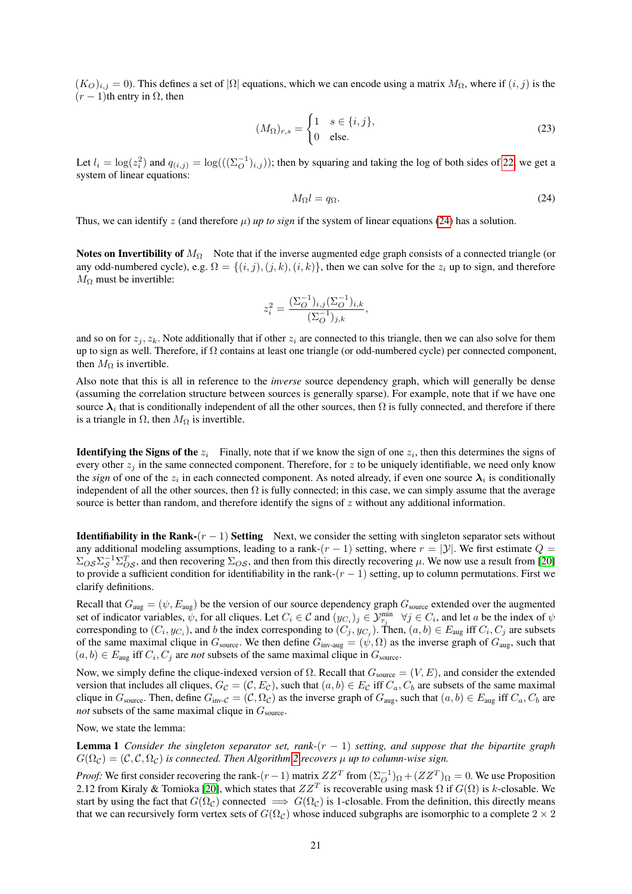$(K_O)_{i,j} = 0$ ). This defines a set of  $|\Omega|$  equations, which we can encode using a matrix  $M_{\Omega}$ , where if  $(i, j)$  is the  $(r - 1)$ th entry in  $\Omega$ , then

$$
(M_{\Omega})_{r,s} = \begin{cases} 1 & s \in \{i,j\}, \\ 0 & \text{else.} \end{cases}
$$
 (23)

Let  $l_i = \log(z_i^2)$  and  $q_{(i,j)} = \log((\sum_{i}^{-1})_{i,j})$ ; then by squaring and taking the log of both sides of [22,](#page-19-3) we get a system of linear equations:

<span id="page-20-0"></span>
$$
M_{\Omega}l = q_{\Omega}.\tag{24}
$$

Thus, we can identify z (and therefore  $\mu$ ) *up to sign* if the system of linear equations [\(24\)](#page-20-0) has a solution.

Notes on Invertibility of  $M_{\Omega}$  Note that if the inverse augmented edge graph consists of a connected triangle (or any odd-numbered cycle), e.g.  $\Omega = \{(i, j), (j, k), (i, k)\}$ , then we can solve for the  $z_i$  up to sign, and therefore  $M_{\Omega}$  must be invertible:

$$
z_i^2 = \frac{(\Sigma_O^{-1})_{i,j} (\Sigma_O^{-1})_{i,k}}{(\Sigma_O^{-1})_{j,k}},
$$

and so on for  $z_j, z_k$ . Note additionally that if other  $z_i$  are connected to this triangle, then we can also solve for them up to sign as well. Therefore, if  $\Omega$  contains at least one triangle (or odd-numbered cycle) per connected component, then  $M_{\Omega}$  is invertible.

Also note that this is all in reference to the *inverse* source dependency graph, which will generally be dense (assuming the correlation structure between sources is generally sparse). For example, note that if we have one source  $\lambda_i$  that is conditionally independent of all the other sources, then  $\Omega$  is fully connected, and therefore if there is a triangle in  $\Omega$ , then  $M_{\Omega}$  is invertible.

**Identifying the Signs of the**  $z_i$  Finally, note that if we know the sign of one  $z_i$ , then this determines the signs of every other  $z_i$  in the same connected component. Therefore, for z to be uniquely identifiable, we need only know the *sign* of one of the  $z_i$  in each connected component. As noted already, if even one source  $\lambda_i$  is conditionally independent of all the other sources, then  $\Omega$  is fully connected; in this case, we can simply assume that the average source is better than random, and therefore identify the signs of z without any additional information.

**Identifiability in the Rank-** $(r - 1)$  **Setting** Next, we consider the setting with singleton separator sets without any additional modeling assumptions, leading to a rank- $(r - 1)$  setting, where  $r = |\mathcal{Y}|$ . We first estimate  $Q =$  $\Sigma_{OS} \Sigma_S^{-1} \Sigma_{OS}^T$ , and then recovering  $\Sigma_{OS}$ , and then from this directly recovering  $\mu$ . We now use a result from [\[20\]](#page-9-23) to provide a sufficient condition for identifiability in the rank- $(r - 1)$  setting, up to column permutations. First we clarify definitions.

Recall that  $G_{\text{aug}} = (\psi, E_{\text{aug}})$  be the version of our source dependency graph  $G_{\text{source}}$  extended over the augmented set of indicator variables,  $\psi$ , for all cliques. Let  $C_i \in \mathcal{C}$  and  $(y_{C_i})_j \in \mathcal{Y}_{\tau_j}^{\min}$   $\forall j \in C_i$ , and let a be the index of  $\psi$ corresponding to  $(C_i, y_{C_i})$ , and b the index corresponding to  $(C_j, y_{C_j})$ . Then,  $(a, b) \in E_{\text{aug}}$  iff  $C_i, C_j$  are subsets of the same maximal clique in  $G_{\text{source}}$ . We then define  $G_{\text{inv-aug}} = (\psi, \Omega)$  as the inverse graph of  $G_{\text{aug}}$ , such that  $(a, b) \in E_{\text{aug}}$  iff  $C_i, C_j$  are *not* subsets of the same maximal clique in  $G_{\text{source}}$ .

Now, we simply define the clique-indexed version of  $\Omega$ . Recall that  $G_{\text{source}} = (V, E)$ , and consider the extended version that includes all cliques,  $G_{\mathcal{C}} = (\mathcal{C}, E_{\mathcal{C}})$ , such that  $(a, b) \in E_{\mathcal{C}}$  iff  $C_a, C_b$  are subsets of the same maximal clique in  $G_{source}$ . Then, define  $G_{inv\text{-}C} = (\mathcal{C}, \Omega_{\mathcal{C}})$  as the inverse graph of  $G_{aug}$ , such that  $(a, b) \in E_{aug}$  iff  $C_a, C_b$  are *not* subsets of the same maximal clique in  $G_{\text{source}}$ .

Now, we state the lemma:

Lemma 1 *Consider the singleton separator set, rank-*(r − 1) *setting, and suppose that the bipartite graph*  $G(\Omega_{\mathcal{C}}) = (\mathcal{C}, \mathcal{C}, \Omega_{\mathcal{C}})$  *is connected. Then Algorithm [2](#page-15-0) recovers*  $\mu$  *up to column-wise sign.* 

*Proof:* We first consider recovering the rank- $(r-1)$  matrix  $ZZ^T$  from  $(\Sigma_O^{-1})_{\Omega} + (ZZ^T)_{\Omega} = 0$ . We use Proposition 2.12 from Kiraly & Tomioka [\[20\]](#page-9-23), which states that  $ZZ^T$  is recoverable using mask  $\Omega$  if  $G(\Omega)$  is k-closable. We start by using the fact that  $G(\Omega_c)$  connected  $\implies G(\Omega_c)$  is 1-closable. From the definition, this directly means that we can recursively form vertex sets of  $G(\Omega_{\mathcal{C}})$  whose induced subgraphs are isomorphic to a complete  $2 \times 2$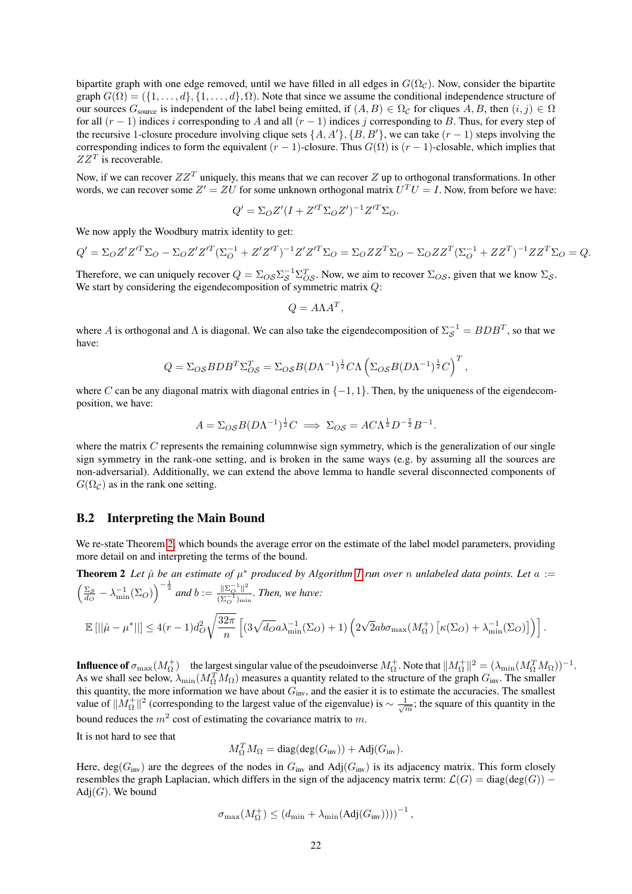bipartite graph with one edge removed, until we have filled in all edges in  $G(\Omega<sub>C</sub>)$ . Now, consider the bipartite graph  $G(\Omega) = (\{1, \ldots, d\}, \{1, \ldots, d\}, \Omega)$ . Note that since we assume the conditional independence structure of our sources  $G_{\text{source}}$  is independent of the label being emitted, if  $(A, B) \in \Omega_c$  for cliques  $A, B$ , then  $(i, j) \in \Omega$ for all  $(r - 1)$  indices i corresponding to A and all  $(r - 1)$  indices j corresponding to B. Thus, for every step of the recursive 1-closure procedure involving clique sets  $\{A, A'\}, \{B, B'\},$  we can take  $(r - 1)$  steps involving the corresponding indices to form the equivalent  $(r - 1)$ -closure. Thus  $G(\Omega)$  is  $(r - 1)$ -closable, which implies that  $ZZ<sup>T</sup>$  is recoverable.

Now, if we can recover  $ZZ^T$  uniquely, this means that we can recover Z up to orthogonal transformations. In other words, we can recover some  $Z' = ZU$  for some unknown orthogonal matrix  $U^T U = I$ . Now, from before we have:

$$
Q' = \Sigma_O Z'(I + Z'^T \Sigma_O Z')^{-1} Z'^T \Sigma_O.
$$

We now apply the Woodbury matrix identity to get:

$$
Q' = \Sigma_O Z' Z'^T \Sigma_O - \Sigma_O Z' Z'^T (\Sigma_O^{-1} + Z' Z'^T)^{-1} Z' Z'^T \Sigma_O = \Sigma_O Z Z^T \Sigma_O - \Sigma_O Z Z^T (\Sigma_O^{-1} + Z Z^T)^{-1} Z Z^T \Sigma_O = Q.
$$

Therefore, we can uniquely recover  $Q = \Sigma_{OS} \Sigma_S^{-1} \Sigma_{OS}^T$ . Now, we aim to recover  $\Sigma_{OS}$ , given that we know  $\Sigma_S$ . We start by considering the eigendecomposition of symmetric matrix  $Q$ :

$$
Q = A\Lambda A^T,
$$

where A is orthogonal and  $\Lambda$  is diagonal. We can also take the eigendecomposition of  $\Sigma_S^{-1} = BDB^T$ , so that we have:

$$
Q = \Sigma_{OS} BDB^T \Sigma_{OS}^T = \Sigma_{OS} B(D\Lambda^{-1})^{\frac{1}{2}} C \Lambda \left( \Sigma_{OS} B(D\Lambda^{-1})^{\frac{1}{2}} C \right)^T,
$$

where C can be any diagonal matrix with diagonal entries in  $\{-1, 1\}$ . Then, by the uniqueness of the eigendecomposition, we have:

$$
A = \sum_{OS} B(D\Lambda^{-1})^{\frac{1}{2}}C \implies \sum_{OS} = A C \Lambda^{\frac{1}{2}} D^{-\frac{1}{2}} B^{-1}.
$$

where the matrix  $C$  represents the remaining columnwise sign symmetry, which is the generalization of our single sign symmetry in the rank-one setting, and is broken in the same ways (e.g. by assuming all the sources are non-adversarial). Additionally, we can extend the above lemma to handle several disconnected components of  $G(\Omega_{\cal C})$  as in the rank one setting.

#### <span id="page-21-0"></span>B.2 Interpreting the Main Bound

We re-state Theorem [2,](#page-6-0) which bounds the average error on the estimate of the label model parameters, providing more detail on and interpreting the terms of the bound.

**Theorem 2** Let  $\hat{\mu}$  be an estimate of  $\mu^*$  produced by Algorithm [1](#page-5-0) run over n unlabeled data points. Let  $a :=$  $\left(\frac{\Sigma_{\mathcal{S}}}{d_{\mathcal{O}}} - \lambda_{\min}^{-1}(\Sigma_{\mathcal{O}})\right)^{-\frac{1}{2}}$  and  $b := \frac{\|\Sigma_{\mathcal{O}}^{-1}\|^2}{(\Sigma_{\mathcal{O}}^{-1})_{\min}}$  $\frac{\mathbb{I} \subseteq Q \mathbb{I}}{(\Sigma_Q^{-1})_{\min}}$ *. Then, we have:*  $\mathbb{E} [||\hat{\mu} - \mu^*||] \le 4(r-1)d_O^2$  $\sqrt{32\pi}$ n  $\left[ (3\sqrt{d_O}a\lambda_{\min}^{-1}(\Sigma_O) + 1) (2) \right]$  $\sqrt{2}ab\sigma_{\max}(M_{\Omega}^+) \left[ \kappa(\Sigma_O) + \lambda_{\min}^{-1}(\Sigma_O) \right] \right].$ 

**Influence of**  $\sigma_{\text{max}}(M_{\Omega}^+)$  the largest singular value of the pseudoinverse  $M_{\Omega}^+$ . Note that  $||M_{\Omega}^+||^2 = (\lambda_{\text{min}}(M_{\Omega}^T M_{\Omega}))^{-1}$ . As we shall see below,  $\lambda_{\min}(M_{\Omega}^T M_{\Omega})$  measures a quantity related to the structure of the graph  $G_{\text{inv}}$ . The smaller this quantity, the more information we have about  $G_{inv}$ , and the easier it is to estimate the accuracies. The smallest value of  $||M_0^+||^2$  (corresponding to the largest value of the eigenvalue) is  $\sim \frac{1}{\sqrt{m}}$ ; the square of this quantity in the bound reduces the  $m^2$  cost of estimating the covariance matrix to m.

It is not hard to see that

$$
M_{\Omega}^T M_{\Omega} = \text{diag}(\text{deg}(G_{\text{inv}})) + \text{Adj}(G_{\text{inv}}).
$$

Here,  $deg(G_{inv})$  are the degrees of the nodes in  $G_{inv}$  and Adj $(G_{inv})$  is its adjacency matrix. This form closely resembles the graph Laplacian, which differs in the sign of the adjacency matrix term:  $\mathcal{L}(G) = \text{diag}(\text{deg}(G))$  $\text{Adj}(G)$ . We bound

$$
\sigma_{\max}(M_{\Omega}^+) \leq (d_{\min} + \lambda_{\min}(\text{Adj}(G_{\text{inv}}))))^{-1},
$$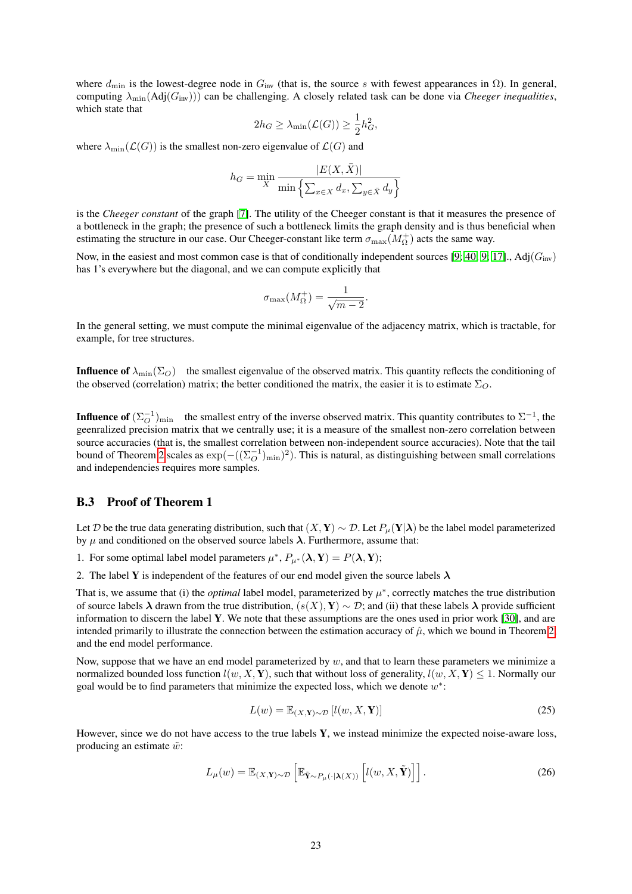where  $d_{\min}$  is the lowest-degree node in  $G_{\text{inv}}$  (that is, the source s with fewest appearances in  $\Omega$ ). In general, computing  $\lambda_{\min}(Adj(G_{\text{inv}}))$  can be challenging. A closely related task can be done via *Cheeger inequalities*, which state that

$$
2h_G \geq \lambda_{\min}(\mathcal{L}(G)) \geq \frac{1}{2}h_G^2,
$$

where  $\lambda_{\min}(\mathcal{L}(G))$  is the smallest non-zero eigenvalue of  $\mathcal{L}(G)$  and

$$
h_G = \min_X \frac{|E(X, \bar{X})|}{\min \left\{ \sum_{x \in X} d_x, \sum_{y \in \bar{X}} d_y \right\}}
$$

is the *Cheeger constant* of the graph [\[7\]](#page-9-24). The utility of the Cheeger constant is that it measures the presence of a bottleneck in the graph; the presence of such a bottleneck limits the graph density and is thus beneficial when estimating the structure in our case. Our Cheeger-constant like term  $\sigma_{\max}(M_{\Omega}^+)$  acts the same way.

Now, in the easiest and most common case is that of conditionally independent sources [\[9;](#page-9-14) [40;](#page-10-10) [9;](#page-9-14) [17\]](#page-9-4)., Adj( $G_{\text{inv}}$ ) has 1's everywhere but the diagonal, and we can compute explicitly that

$$
\sigma_{\max}(M_{\Omega}^+) = \frac{1}{\sqrt{m-2}}.
$$

In the general setting, we must compute the minimal eigenvalue of the adjacency matrix, which is tractable, for example, for tree structures.

**Influence of**  $\lambda_{\min}(\Sigma_O)$  the smallest eigenvalue of the observed matrix. This quantity reflects the conditioning of the observed (correlation) matrix; the better conditioned the matrix, the easier it is to estimate  $\Sigma_O$ .

**Influence of**  $(\Sigma_O^{-1})_{\text{min}}$  the smallest entry of the inverse observed matrix. This quantity contributes to  $\Sigma^{-1}$ , the geenralized precision matrix that we centrally use; it is a measure of the smallest non-zero correlation between source accuracies (that is, the smallest correlation between non-independent source accuracies). Note that the tail bound of Theorem [2](#page-6-0) scales as  $\exp(-( (\Sigma_O^{-1})_{\min})^2)$ . This is natural, as distinguishing between small correlations and independencies requires more samples.

### <span id="page-22-0"></span>B.3 Proof of Theorem 1

Let D be the true data generating distribution, such that  $(X, Y) \sim D$ . Let  $P_\mu(Y|\lambda)$  be the label model parameterized by  $\mu$  and conditioned on the observed source labels  $\lambda$ . Furthermore, assume that:

1. For some optimal label model parameters  $\mu^*$ ,  $P_{\mu^*}(\lambda, Y) = P(\lambda, Y)$ ;

2. The label Y is independent of the features of our end model given the source labels  $\lambda$ 

That is, we assume that (i) the *optimal* label model, parameterized by  $\mu^*$ , correctly matches the true distribution of source labels  $\lambda$  drawn from the true distribution,  $(s(X), Y) \sim \mathcal{D}$ ; and (ii) that these labels  $\lambda$  provide sufficient information to discern the label Y. We note that these assumptions are the ones used in prior work [\[30\]](#page-10-6), and are intended primarily to illustrate the connection between the estimation accuracy of  $\hat{\mu}$ , which we bound in Theorem [2,](#page-6-0) and the end model performance.

Now, suppose that we have an end model parameterized by  $w$ , and that to learn these parameters we minimize a normalized bounded loss function  $l(w, X, Y)$ , such that without loss of generality,  $l(w, X, Y) \leq 1$ . Normally our goal would be to find parameters that minimize the expected loss, which we denote  $w^*$ :

$$
L(w) = \mathbb{E}_{(X, \mathbf{Y}) \sim \mathcal{D}} \left[ l(w, X, \mathbf{Y}) \right]
$$
\n(25)

However, since we do not have access to the true labels Y, we instead minimize the expected noise-aware loss, producing an estimate  $\tilde{w}$ :

$$
L_{\mu}(w) = \mathbb{E}_{(X,\mathbf{Y})\sim\mathcal{D}}\left[\mathbb{E}_{\tilde{\mathbf{Y}}\sim P_{\mu}(\cdot|\boldsymbol{\lambda}(X))}\left[l(w,X,\tilde{\mathbf{Y}})\right]\right].
$$
 (26)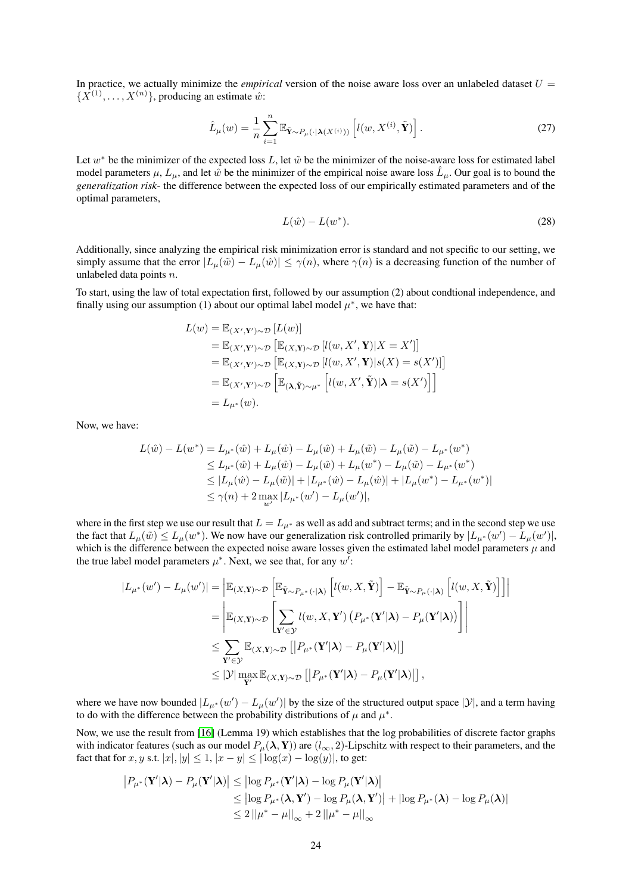In practice, we actually minimize the *empirical* version of the noise aware loss over an unlabeled dataset  $U =$  $\{X^{(1)}, \ldots, X^{(n)}\}$ , producing an estimate  $\hat{w}$ :

$$
\hat{L}_{\mu}(w) = \frac{1}{n} \sum_{i=1}^{n} \mathbb{E}_{\tilde{\mathbf{Y}} \sim P_{\mu}(\cdot | \mathbf{\lambda}(X^{(i)}))} \left[ l(w, X^{(i)}, \tilde{\mathbf{Y}}) \right]. \tag{27}
$$

Let  $w^*$  be the minimizer of the expected loss L, let  $\tilde{w}$  be the minimizer of the noise-aware loss for estimated label model parameters  $\mu$ ,  $L_{\mu}$ , and let  $\hat{w}$  be the minimizer of the empirical noise aware loss  $\hat{L}_{\mu}$ . Our goal is to bound the *generalization risk*- the difference between the expected loss of our empirically estimated parameters and of the optimal parameters,

$$
L(\hat{w}) - L(w^*). \tag{28}
$$

Additionally, since analyzing the empirical risk minimization error is standard and not specific to our setting, we simply assume that the error  $|L_{\mu}(\tilde{w}) - L_{\mu}(\hat{w})| \leq \gamma(n)$ , where  $\gamma(n)$  is a decreasing function of the number of unlabeled data points n.

To start, using the law of total expectation first, followed by our assumption (2) about condtional independence, and finally using our assumption (1) about our optimal label model  $\mu^*$ , we have that:

$$
L(w) = \mathbb{E}_{(X',\mathbf{Y}')\sim\mathcal{D}} [L(w)]
$$
  
\n
$$
= \mathbb{E}_{(X',\mathbf{Y}')\sim\mathcal{D}} [\mathbb{E}_{(X,\mathbf{Y})\sim\mathcal{D}} [l(w,X',\mathbf{Y})|X=X']]
$$
  
\n
$$
= \mathbb{E}_{(X',\mathbf{Y}')\sim\mathcal{D}} [\mathbb{E}_{(X,\mathbf{Y})\sim\mathcal{D}} [l(w,X',\mathbf{Y})|s(X) = s(X')]]
$$
  
\n
$$
= \mathbb{E}_{(X',\mathbf{Y}')\sim\mathcal{D}} [\mathbb{E}_{(\mathbf{\lambda},\tilde{\mathbf{Y}})\sim\mu^*} [l(w,X',\tilde{\mathbf{Y}})|\mathbf{\lambda} = s(X')]]
$$
  
\n
$$
= L_{\mu^*}(w).
$$

Now, we have:

$$
L(\hat{w}) - L(w^*) = L_{\mu^*}(\hat{w}) + L_{\mu}(\hat{w}) - L_{\mu}(\hat{w}) + L_{\mu}(\tilde{w}) - L_{\mu}(\tilde{w}) - L_{\mu^*}(w^*)
$$
  
\n
$$
\leq L_{\mu^*}(\hat{w}) + L_{\mu}(\hat{w}) - L_{\mu}(\hat{w}) + L_{\mu}(w^*) - L_{\mu}(\tilde{w}) - L_{\mu^*}(w^*)
$$
  
\n
$$
\leq |L_{\mu}(\hat{w}) - L_{\mu}(\tilde{w})| + |L_{\mu^*}(\hat{w}) - L_{\mu}(\hat{w})| + |L_{\mu}(w^*) - L_{\mu^*}(w^*)|
$$
  
\n
$$
\leq \gamma(n) + 2 \max_{w'} |L_{\mu^*}(w') - L_{\mu}(w')|,
$$

where in the first step we use our result that  $L = L_{\mu^*}$  as well as add and subtract terms; and in the second step we use the fact that  $L_\mu(\tilde{w}) \le L_\mu(w^*)$ . We now have our generalization risk controlled primarily by  $|L_{\mu^*}(w') - L_\mu(w')|$ , which is the difference between the expected noise aware losses given the estimated label model parameters  $\mu$  and the true label model parameters  $\mu^*$ . Next, we see that, for any  $w'$ :

$$
|L_{\mu^*}(w') - L_{\mu}(w')| = \left| \mathbb{E}_{(X,\mathbf{Y}) \sim \mathcal{D}} \left[ \mathbb{E}_{\tilde{\mathbf{Y}} \sim P_{\mu^*}(\cdot | \mathbf{\lambda})} \left[ l(w, X, \tilde{\mathbf{Y}}) \right] - \mathbb{E}_{\tilde{\mathbf{Y}} \sim P_{\mu}(\cdot | \mathbf{\lambda})} \left[ l(w, X, \tilde{\mathbf{Y}}) \right] \right] \right|
$$
  
\n
$$
= \left| \mathbb{E}_{(X,\mathbf{Y}) \sim \mathcal{D}} \left[ \sum_{\mathbf{Y}' \in \mathcal{Y}} l(w, X, \mathbf{Y}') \left( P_{\mu^*}(\mathbf{Y}' | \mathbf{\lambda}) - P_{\mu}(\mathbf{Y}' | \mathbf{\lambda}) \right) \right] \right|
$$
  
\n
$$
\leq \sum_{\mathbf{Y}' \in \mathcal{Y}} \mathbb{E}_{(X,\mathbf{Y}) \sim \mathcal{D}} \left[ | P_{\mu^*}(\mathbf{Y}' | \mathbf{\lambda}) - P_{\mu}(\mathbf{Y}' | \mathbf{\lambda}) | \right]
$$
  
\n
$$
\leq |\mathcal{Y}| \max_{\mathbf{Y}'} \mathbb{E}_{(X,\mathbf{Y}) \sim \mathcal{D}} \left[ | P_{\mu^*}(\mathbf{Y}' | \mathbf{\lambda}) - P_{\mu}(\mathbf{Y}' | \mathbf{\lambda}) | \right],
$$

where we have now bounded  $|L_{\mu^*}(w') - L_{\mu}(w')|$  by the size of the structured output space  $|y|$ , and a term having to do with the difference between the probability distributions of  $\mu$  and  $\mu^*$ .

Now, we use the result from [\[16\]](#page-9-25) (Lemma 19) which establishes that the log probabilities of discrete factor graphs with indicator features (such as our model  $P_\mu(\lambda, Y)$ ) are  $(l_\infty, 2)$ -Lipschitz with respect to their parameters, and the fact that for x, y s.t.  $|x|, |y| \leq 1$ ,  $|x - y| \leq |\log(x) - \log(y)|$ , to get:

$$
|P_{\mu^*}(\mathbf{Y}'|\boldsymbol{\lambda}) - P_{\mu}(\mathbf{Y}'|\boldsymbol{\lambda})| \leq |\log P_{\mu^*}(\mathbf{Y}'|\boldsymbol{\lambda}) - \log P_{\mu}(\mathbf{Y}'|\boldsymbol{\lambda})|
$$
  
\n
$$
\leq |\log P_{\mu^*}(\boldsymbol{\lambda}, \mathbf{Y}') - \log P_{\mu}(\boldsymbol{\lambda}, \mathbf{Y}')| + |\log P_{\mu^*}(\boldsymbol{\lambda}) - \log P_{\mu}(\boldsymbol{\lambda})|
$$
  
\n
$$
\leq 2 ||\mu^* - \mu||_{\infty} + 2 ||\mu^* - \mu||_{\infty}
$$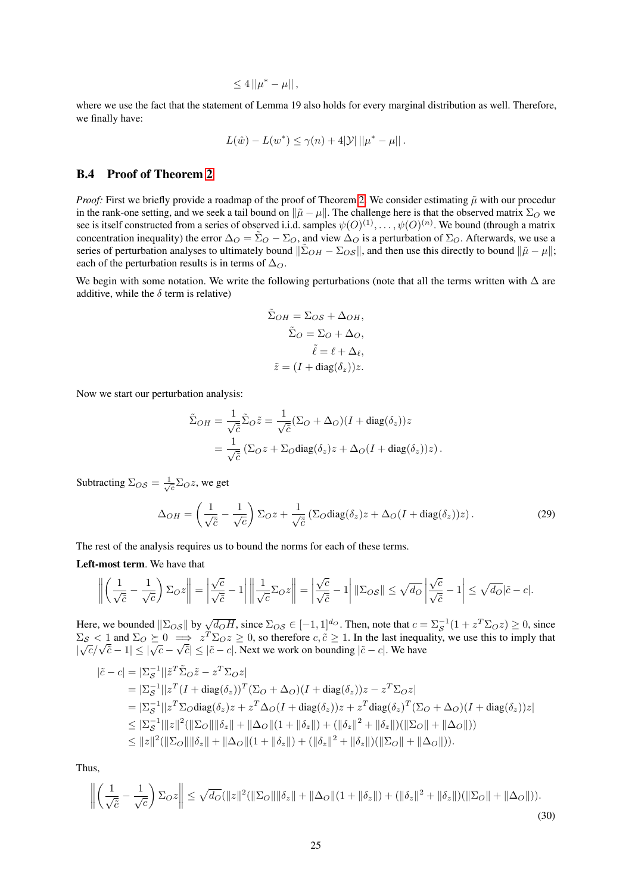$$
\leq 4||\mu^* - \mu||,
$$

where we use the fact that the statement of Lemma 19 also holds for every marginal distribution as well. Therefore, we finally have:

$$
L(\hat{w}) - L(w^*) \le \gamma(n) + 4|\mathcal{Y}| \, ||\mu^* - \mu||.
$$

### <span id="page-24-0"></span>B.4 Proof of Theorem [2](#page-6-0)

*Proof:* First we briefly provide a roadmap of the proof of Theorem [2.](#page-6-0) We consider estimating  $\tilde{\mu}$  with our procedur in the rank-one setting, and we seek a tail bound on  $\|\tilde{\mu} - \mu\|$ . The challenge here is that the observed matrix  $\Sigma_O$  we see is itself constructed from a series of observed i.i.d. samples  $\psi(O)^{(1)}, \ldots, \psi(O)^{(n)}$ . We bound (through a matrix concentration inequality) the error  $\Delta_O = \tilde{\Sigma}_O - \Sigma_O$ , and view  $\Delta_O$  is a perturbation of  $\Sigma_O$ . Afterwards, we use a series of perturbation analyses to ultimately bound  $\|\tilde{\Sigma}_{OH} - \Sigma_{OS}\|$ , and then use this directly to bound  $\|\tilde{\mu} - \mu\|$ ; each of the perturbation results is in terms of  $\Delta_{\mathcal{O}}$ .

We begin with some notation. We write the following perturbations (note that all the terms written with  $\Delta$  are additive, while the  $\delta$  term is relative)

$$
\tilde{\Sigma}_{OH} = \Sigma_{OS} + \Delta_{OH},
$$

$$
\tilde{\Sigma}_{O} = \Sigma_{O} + \Delta_{O},
$$

$$
\tilde{\ell} = \ell + \Delta_{\ell},
$$

$$
\tilde{z} = (I + \text{diag}(\delta_{z}))z.
$$

Now we start our perturbation analysis:

$$
\tilde{\Sigma}_{OH} = \frac{1}{\sqrt{\tilde{c}}} \tilde{\Sigma}_{O} \tilde{z} = \frac{1}{\sqrt{\tilde{c}}} (\Sigma_{O} + \Delta_{O}) (I + \text{diag}(\delta_{z})) z
$$
  
= 
$$
\frac{1}{\sqrt{\tilde{c}}} (\Sigma_{O} z + \Sigma_{O} \text{diag}(\delta_{z}) z + \Delta_{O} (I + \text{diag}(\delta_{z})) z).
$$

Subtracting  $\Sigma_{OS} = \frac{1}{\sqrt{c}} \Sigma_{O} z$ , we get

<span id="page-24-1"></span>
$$
\Delta_{OH} = \left(\frac{1}{\sqrt{\tilde{c}}} - \frac{1}{\sqrt{c}}\right) \Sigma_O z + \frac{1}{\sqrt{\tilde{c}}} \left(\Sigma_O \text{diag}(\delta_z) z + \Delta_O (I + \text{diag}(\delta_z)) z\right). \tag{29}
$$

The rest of the analysis requires us to bound the norms for each of these terms.

Left-most term. We have that

$$
\left\| \left( \frac{1}{\sqrt{\tilde{c}}} - \frac{1}{\sqrt{c}} \right) \Sigma_{O} z \right\| = \left| \frac{\sqrt{c}}{\sqrt{\tilde{c}}} - 1 \right| \left\| \frac{1}{\sqrt{c}} \Sigma_{O} z \right\| = \left| \frac{\sqrt{c}}{\sqrt{\tilde{c}}} - 1 \right| \|\Sigma_{O} s\| \le \sqrt{d_O} \left| \frac{\sqrt{c}}{\sqrt{\tilde{c}}} - 1 \right| \le \sqrt{d_O} |\tilde{c} - c|.
$$

Here, we bounded  $\|\Sigma_{OS}\|$  by  $\sqrt{d_O H}$ , since  $\Sigma_{OS} \in [-1, 1]^{d_O}$ . Then, note that  $c = \Sigma_S^{-1}(1 + z^T \Sigma_O z) \ge 0$ , since  $\Sigma_{\mathcal{S}}$  < 1 and  $\Sigma_{\mathcal{O}} \succeq 0 \implies z^T \Sigma_{\mathcal{O}} z \geq 0$ , so therefore  $c, \tilde{c} \geq 1$ . In the last inequality, we use this to imply that  $\frac{\sum_{\mathcal{S}}}{|\sqrt{c}/\sqrt{\tilde{c}}-1|} \leq |\sqrt{c}-1|$ √  $|\tilde{c}| \leq |\tilde{c} - c|$ . Next we work on bounding  $|\tilde{c} - c|$ . We have

$$
\begin{split}\n|\tilde{c} - c| &= |\Sigma_{\mathcal{S}}^{-1}||\tilde{z}^T \tilde{\Sigma}_O \tilde{z} - z^T \Sigma_O z| \\
&= |\Sigma_{\mathcal{S}}^{-1}||z^T (I + \text{diag}(\delta_z))^T (\Sigma_O + \Delta_O)(I + \text{diag}(\delta_z))z - z^T \Sigma_O z| \\
&= |\Sigma_{\mathcal{S}}^{-1}||z^T \Sigma_O \text{diag}(\delta_z)z + z^T \Delta_O (I + \text{diag}(\delta_z))z + z^T \text{diag}(\delta_z)^T (\Sigma_O + \Delta_O)(I + \text{diag}(\delta_z))z| \\
&\leq |\Sigma_{\mathcal{S}}^{-1}||z||^2 (||\Sigma_O||||\delta_z|| + ||\Delta_O||(1 + ||\delta_z||) + (||\delta_z||^2 + ||\delta_z||)(||\Sigma_O|| + ||\Delta_O||)) \\
&\leq ||z||^2 (||\Sigma_O||||\delta_z|| + ||\Delta_O||(1 + ||\delta_z||) + (||\delta_z||^2 + ||\delta_z||)(||\Sigma_O|| + ||\Delta_O||)).\n\end{split}
$$

Thus,

$$
\left\| \left( \frac{1}{\sqrt{\tilde{c}}} - \frac{1}{\sqrt{c}} \right) \Sigma_O z \right\| \le \sqrt{d_O} (\|z\|^2 (\|\Sigma_O\| \|\delta_z\| + \|\Delta_O\| (1 + \|\delta_z\|) + (\|\delta_z\|^2 + \|\delta_z\|) (\|\Sigma_O\| + \|\Delta_O\|)).
$$
\n(30)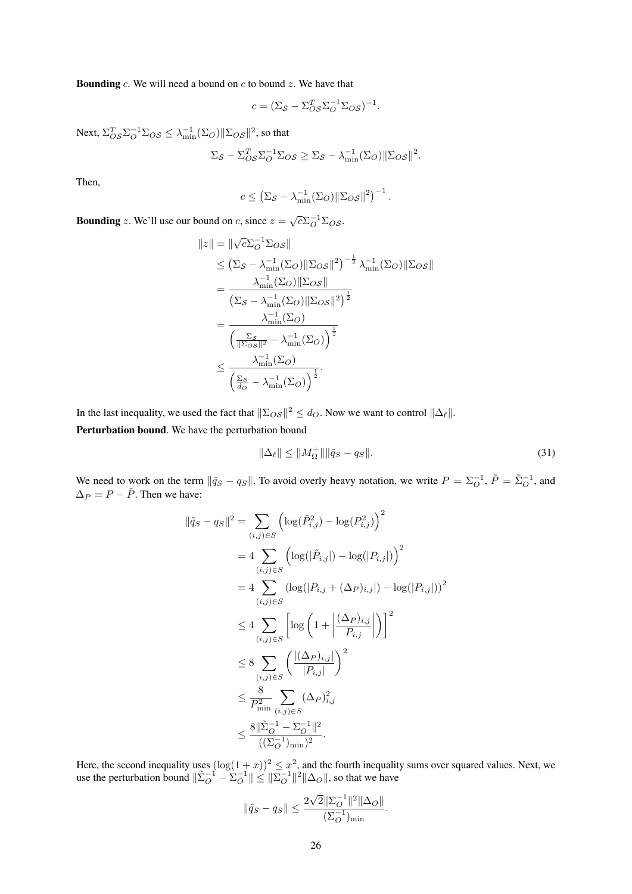**Bounding** c. We will need a bound on c to bound z. We have that

$$
c = (\Sigma_S - \Sigma_{OS}^T \Sigma_O^{-1} \Sigma_{OS})^{-1}.
$$

Next,  $\Sigma_{OS}^T \Sigma_O^{-1} \Sigma_{OS} \leq \lambda_{\min}^{-1} (\Sigma_O) ||\Sigma_{OS}||^2$ , so that

$$
\Sigma_{\mathcal{S}} - \Sigma_{\mathcal{OS}}^T \Sigma_{\mathcal{O}}^{-1} \Sigma_{\mathcal{OS}} \geq \Sigma_{\mathcal{S}} - \lambda_{\min}^{-1} (\Sigma_{\mathcal{O}}) \|\Sigma_{\mathcal{OS}}\|^2.
$$

Then,

$$
c \leq \left(\Sigma_{\mathcal{S}} - \lambda_{\min}^{-1}(\Sigma_{O}) \|\Sigma_{OS}\|^2\right)^{-1}.
$$

**Bounding** z. We'll use our bound on c, since  $z = \sqrt{c} \Sigma_O^{-1} \Sigma_O s$ .

$$
||z|| = ||\sqrt{c}\Sigma_O^{-1}\Sigma_{OS}||
$$
  
\n
$$
\leq (\Sigma_S - \lambda_{\min}^{-1}(\Sigma_O)||\Sigma_{OS}||^2)^{-\frac{1}{2}}\lambda_{\min}^{-1}(\Sigma_O)||\Sigma_{OS}||
$$
  
\n
$$
= \frac{\lambda_{\min}^{-1}(\Sigma_O)||\Sigma_{OS}||^2}{(\Sigma_S - \lambda_{\min}^{-1}(\Sigma_O)||\Sigma_{OS}||^2)^{\frac{1}{2}}}
$$
  
\n
$$
= \frac{\lambda_{\min}^{-1}(\Sigma_O)}{(\frac{\Sigma_S}{||\Sigma_{OS}||^2} - \lambda_{\min}^{-1}(\Sigma_O))^{\frac{1}{2}}}
$$
  
\n
$$
\leq \frac{\lambda_{\min}^{-1}(\Sigma_O)}{(\frac{\Sigma_S}{d_O} - \lambda_{\min}^{-1}(\Sigma_O))^{\frac{1}{2}}}.
$$

In the last inequality, we used the fact that  $\|\Sigma_{OS}\|^2 \le d_O$ . Now we want to control  $\|\Delta_\ell\|$ .

Perturbation bound. We have the perturbation bound

<span id="page-25-0"></span>
$$
\|\Delta_{\ell}\| \le \|M_{\Omega}^{+}\| \|\tilde{q}_{S} - q_{S}\|.
$$
\n(31)

We need to work on the term  $\|\tilde{q}_S - q_S\|$ . To avoid overly heavy notation, we write  $P = \sum_{O}^{-1}$ ,  $\tilde{P} = \tilde{\Sigma}_{O}^{-1}$ , and  $\Delta_P = P - \tilde{P}$ . Then we have:

$$
\|\tilde{q}_{S} - q_{S}\|^{2} = \sum_{(i,j) \in S} \left( \log(\tilde{P}_{i,j}^{2}) - \log(P_{i,j}^{2}) \right)^{2}
$$
  
\n
$$
= 4 \sum_{(i,j) \in S} \left( \log(|\tilde{P}_{i,j}|) - \log(|P_{i,j}|) \right)^{2}
$$
  
\n
$$
= 4 \sum_{(i,j) \in S} \left( \log(|P_{i,j} + (\Delta_{P})_{i,j}|) - \log(|P_{i,j}|) \right)^{2}
$$
  
\n
$$
\leq 4 \sum_{(i,j) \in S} \left[ \log \left( 1 + \left| \frac{(\Delta_{P})_{i,j}}{P_{i,j}} \right| \right) \right]^{2}
$$
  
\n
$$
\leq 8 \sum_{(i,j) \in S} \left( \frac{|(\Delta_{P})_{i,j}|}{|P_{i,j}|} \right)^{2}
$$
  
\n
$$
\leq \frac{8}{P_{\min}^{2}} \sum_{(i,j) \in S} (\Delta_{P})_{i,j}^{2}
$$
  
\n
$$
\leq \frac{8 \|\tilde{\Sigma}_{O}^{-1} - \Sigma_{O}^{-1}\|^{2}}{((\Sigma_{O}^{-1})_{\min})^{2}}.
$$

Here, the second inequality uses  $(\log(1+x))^2 \leq x^2$ , and the fourth inequality sums over squared values. Next, we use the perturbation bound  $\|\tilde{\Sigma}_O^{-1} - \tilde{\Sigma}_O^{-1}\| \leq \|\Sigma_O^{-1}\|^2 \|\Delta_O\|$ , so that we have

$$
\|\tilde{q}_S - q_S\| \le \frac{2\sqrt{2}\|\Sigma_O^{-1}\|^2 \|\Delta_O\|}{(\Sigma_O^{-1})_{\min}}.
$$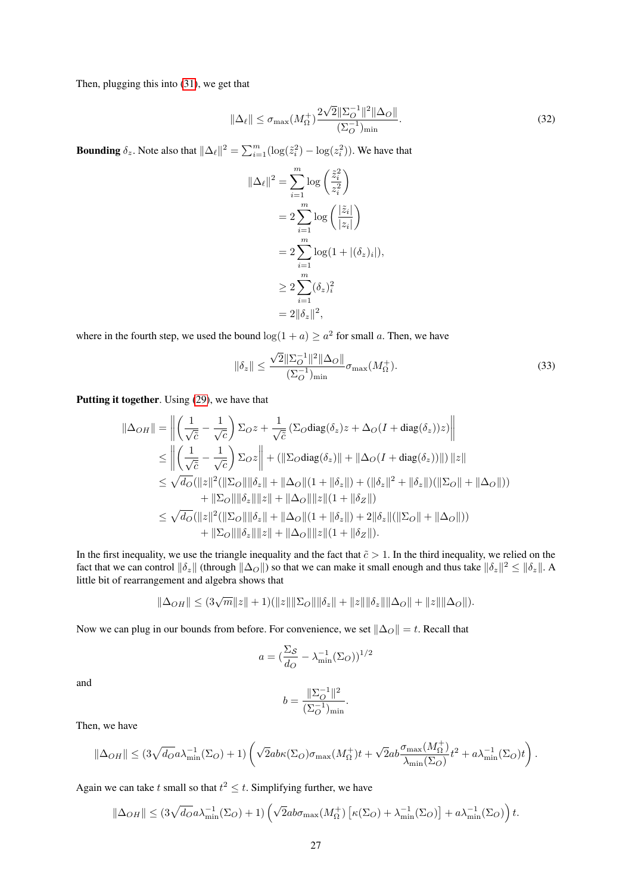Then, plugging this into [\(31\)](#page-25-0), we get that

$$
\|\Delta_{\ell}\| \le \sigma_{\max}(M_{\Omega}^+) \frac{2\sqrt{2} \|\Sigma_O^{-1}\|^2 \|\Delta_O\|}{(\Sigma_O^{-1})_{\min}}.
$$
\n(32)

**Bounding**  $\delta_z$ . Note also that  $\|\Delta_\ell\|^2 = \sum_{i=1}^m (\log(\tilde{z}_i^2) - \log(z_i^2))$ . We have that

$$
\|\Delta_{\ell}\|^2 = \sum_{i=1}^m \log\left(\frac{\tilde{z}_i^2}{z_i^2}\right)
$$
  
=  $2\sum_{i=1}^m \log\left(\frac{|\tilde{z}_i|}{|z_i|}\right)$   
=  $2\sum_{i=1}^m \log(1 + |(\delta_z)_i|),$   
 $\geq 2\sum_{i=1}^m (\delta_z)_i^2$   
=  $2\|\delta_z\|^2,$ 

where in the fourth step, we used the bound  $\log(1 + a) \ge a^2$  for small a. Then, we have

$$
\|\delta_z\| \le \frac{\sqrt{2} \|\Sigma_O^{-1}\|^2 \|\Delta_O\|}{(\Sigma_O^{-1})_{\min}} \sigma_{\max}(M_\Omega^+). \tag{33}
$$

Putting it together. Using [\(29\)](#page-24-1), we have that

$$
\|\Delta_{OH}\| = \left\| \left( \frac{1}{\sqrt{\tilde{c}}} - \frac{1}{\sqrt{c}} \right) \Sigma_O z + \frac{1}{\sqrt{\tilde{c}}} \left( \Sigma_O \text{diag}(\delta_z) z + \Delta_O (I + \text{diag}(\delta_z)) z \right) \right\|
$$
  
\n
$$
\leq \left\| \left( \frac{1}{\sqrt{\tilde{c}}} - \frac{1}{\sqrt{c}} \right) \Sigma_O z \right\| + \left( \|\Sigma_O \text{diag}(\delta_z)\| + \|\Delta_O (I + \text{diag}(\delta_z))\| \right) \|z\|
$$
  
\n
$$
\leq \sqrt{d_O} (\|z\|^2 (\|\Sigma_O\| \|\delta_z\| + \|\Delta_O\| (1 + \|\delta_z\|) + (\|\delta_z\|^2 + \|\delta_z\|) (\|\Sigma_O\| + \|\Delta_O\|))
$$
  
\n
$$
+ \|\Sigma_O\| \|\delta_z\| \|z\| + \|\Delta_O\| \|z\| (1 + \|\delta_z\|)
$$
  
\n
$$
\leq \sqrt{d_O} (\|z\|^2 (\|\Sigma_O\| \|\delta_z\| + \|\Delta_O\| (1 + \|\delta_z\|) + 2 \|\delta_z\| (\|\Sigma_O\| + \|\Delta_O\|))
$$
  
\n
$$
+ \|\Sigma_O\| \|\delta_z\| \|z\| + \|\Delta_O\| \|z\| (1 + \|\delta_Z\|).
$$

In the first inequality, we use the triangle inequality and the fact that  $\tilde{c} > 1$ . In the third inequality, we relied on the fact that we can control  $\|\delta_z\|$  (through  $\|\Delta_O\|$ ) so that we can make it small enough and thus take  $\|\delta_z\|^2 \le \|\delta_z\|$ . A little bit of rearrangement and algebra shows that

$$
\|\Delta_{OH}\| \leq (3\sqrt{m}\|z\|+1)(\|z\|\|\Sigma_O\|\|\delta_z\|+\|z\|\|\delta_z\|\|\Delta_O\|+\|z\|\|\Delta_O\|).
$$

Now we can plug in our bounds from before. For convenience, we set  $\|\Delta_O\| = t$ . Recall that

$$
a = \left(\frac{\Sigma_{\mathcal{S}}}{d_O} - \lambda_{\min}^{-1}(\Sigma_O)\right)^{1/2}
$$

and

$$
b = \frac{\|\Sigma_O^{-1}\|^2}{(\Sigma_O^{-1})_{\min}}.
$$

Then, we have

$$
\|\Delta_{OH}\| \leq (3\sqrt{d_O}a\lambda_{\min}^{-1}(\Sigma_O)+1)\left(\sqrt{2}ab\kappa(\Sigma_O)\sigma_{\max}(M_{\Omega}^+)t + \sqrt{2}ab\frac{\sigma_{\max}(M_{\Omega}^+)}{\lambda_{\min}(\Sigma_O)}t^2 + a\lambda_{\min}^{-1}(\Sigma_O)t\right).
$$

Again we can take t small so that  $t^2 \leq t$ . Simplifying further, we have

$$
\|\Delta_{OH}\| \leq (3\sqrt{d_O}a\lambda_{\min}^{-1}(\Sigma_O)+1)\left(\sqrt{2}ab\sigma_{\max}(M_\Omega^+)\left[\kappa(\Sigma_O)+\lambda_{\min}^{-1}(\Sigma_O)\right]+a\lambda_{\min}^{-1}(\Sigma_O)\right)t.
$$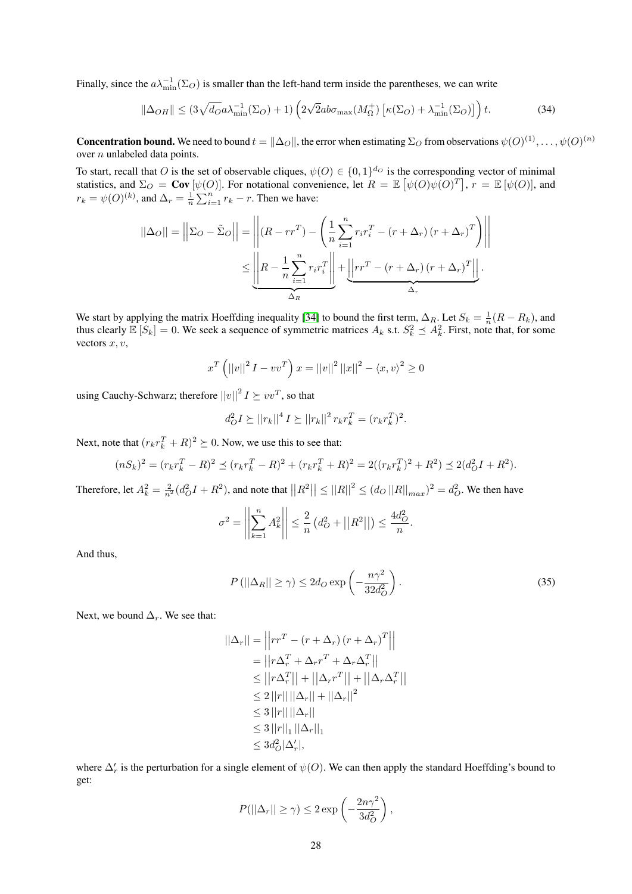Finally, since the  $a\lambda_{\min}^{-1}(\Sigma_O)$  is smaller than the left-hand term inside the parentheses, we can write

<span id="page-27-0"></span>
$$
\|\Delta_{OH}\| \le (3\sqrt{d_O}a\lambda_{\min}^{-1}(\Sigma_O) + 1)\left(2\sqrt{2}ab\sigma_{\max}(M_{\Omega}^+) \left[\kappa(\Sigma_O) + \lambda_{\min}^{-1}(\Sigma_O)\right]\right)t.
$$
 (34)

**Concentration bound.** We need to bound  $t = \|\Delta_O\|$ , the error when estimating  $\Sigma_O$  from observations  $\psi(O)^{(1)}, \ldots, \psi(O)^{(n)}$ over *n* unlabeled data points.

To start, recall that O is the set of observable cliques,  $\psi(O) \in \{0,1\}^{d_O}$  is the corresponding vector of minimal statistics, and  $\Sigma_O = \text{Cov}[\psi(O)]$ . For notational convenience, let  $R = \mathbb{E}[\psi(O)\psi(O)^T]$ ,  $r = \mathbb{E}[\psi(O)]$ , and  $r_k = \psi(0)^{(k)}$ , and  $\Delta_r = \frac{1}{n} \sum_{i=1}^n r_k - r$ . Then we have:

$$
||\Delta_O|| = \left| |\Sigma_O - \tilde{\Sigma}_O| \right| = \left| \left| (R - rr^T) - \left( \frac{1}{n} \sum_{i=1}^n r_i r_i^T - (r + \Delta_r) (r + \Delta_r)^T \right) \right| \right|
$$
  

$$
\leq \underbrace{\left| R - \frac{1}{n} \sum_{i=1}^n r_i r_i^T \right|}_{\Delta_R} + \underbrace{\left| \left| rr^T - (r + \Delta_r) (r + \Delta_r)^T \right| \right|}_{\Delta_r}.
$$

We start by applying the matrix Hoeffding inequality [\[34\]](#page-10-7) to bound the first term,  $\Delta_R$ . Let  $S_k = \frac{1}{n}(R - R_k)$ , and thus clearly  $\mathbb{E}[S_k] = 0$ . We seek a sequence of symmetric matrices  $A_k$  s.t.  $S_k^2 \preceq A_k^2$ . First, note that, for some vectors  $x, v$ ,

$$
x^{T} (||v||^{2} I - v v^{T}) x = ||v||^{2} ||x||^{2} - \langle x, v \rangle^{2} \ge 0
$$

using Cauchy-Schwarz; therefore  $||v||^2 I \succeq vv^T$ , so that

$$
d_O^2 I \succeq ||r_k||^4 I \succeq ||r_k||^2 r_k r_k^T = (r_k r_k^T)^2.
$$

Next, note that  $(r_k r_k^T + R)^2 \succeq 0$ . Now, we use this to see that:

$$
(nS_k)^2 = (r_k r_k^T - R)^2 \preceq (r_k r_k^T - R)^2 + (r_k r_k^T + R)^2 = 2((r_k r_k^T)^2 + R^2) \preceq 2(d_O^2 I + R^2).
$$

Therefore, let  $A_k^2 = \frac{2}{n^2} (d_O^2 I + R^2)$ , and note that  $||R^2|| \le ||R||^2 \le (d_O ||R||_{max})^2 = d_O^2$ . We then have

$$
\sigma^2 = \left| \left| \sum_{k=1}^n A_k^2 \right| \right| \leq \frac{2}{n} \left( d_O^2 + ||R^2|| \right) \leq \frac{4d_O^2}{n}.
$$

And thus,

$$
P(||\Delta_R|| \ge \gamma) \le 2d_O \exp\left(-\frac{n\gamma^2}{32d_O^2}\right). \tag{35}
$$

Next, we bound  $\Delta_r$ . We see that:

$$
||\Delta_r|| = \left|\left|rr^T - \left(r + \Delta_r\right)\left(r + \Delta_r\right)^T\right|\right|
$$
  
\n
$$
= \left|\left|r\Delta_r^T + \Delta_r r^T + \Delta_r \Delta_r^T\right|\right|
$$
  
\n
$$
\leq \left|\left|r\Delta_r^T\right|\right| + \left|\left|\Delta_r r^T\right|\right| + \left|\left|\Delta_r \Delta_r^T\right|\right|
$$
  
\n
$$
\leq 2\left|\left|r\right|\right|\left|\left|\Delta_r\right|\right| + \left|\left|\Delta_r\right|\right|^2
$$
  
\n
$$
\leq 3\left|\left|r\right|\right|\left|\Delta_r\right|\right|
$$
  
\n
$$
\leq 3\left|\left|r\right|\right|_1\left|\left|\Delta_r\right|\right|_1
$$
  
\n
$$
\leq 3d_G^2|\Delta_r'|,
$$

where  $\Delta'_r$  is the perturbation for a single element of  $\psi(O)$ . We can then apply the standard Hoeffding's bound to get:

$$
P(||\Delta_r|| \ge \gamma) \le 2 \exp\left(-\frac{2n\gamma^2}{3d_O^2}\right),\,
$$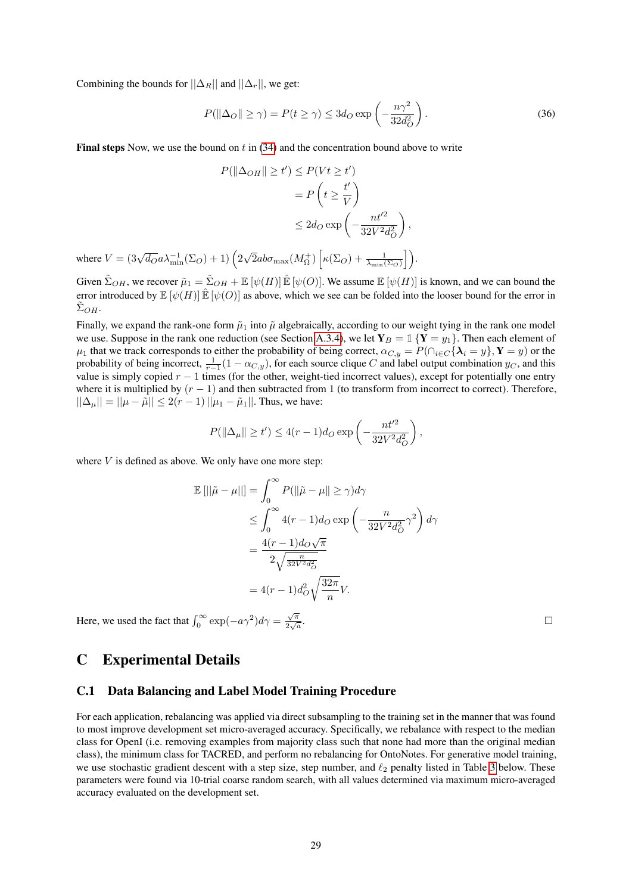Combining the bounds for  $||\Delta_R||$  and  $||\Delta_r||$ , we get:

$$
P(\|\Delta_O\| \ge \gamma) = P(t \ge \gamma) \le 3d_O \exp\left(-\frac{n\gamma^2}{32d_O^2}\right). \tag{36}
$$

**Final steps** Now, we use the bound on t in  $(34)$  and the concentration bound above to write

$$
P(\|\Delta_{OH}\| \ge t') \le P(Vt \ge t')
$$
  
=  $P\left(t \ge \frac{t'}{V}\right)$   

$$
\le 2d_O \exp\left(-\frac{nt'^2}{32V^2d_O^2}\right),
$$
  
where  $V = (3\sqrt{d_O}a\lambda_{\min}^{-1}(\Sigma_O) + 1)\left(2\sqrt{2}ab\sigma_{\max}(M_{\Omega}^+)\left[\kappa(\Sigma_O) + \frac{1}{\lambda_{\min}(\Sigma_O)}\right]\right).$ 

Given  $\tilde{\Sigma}_{OH}$ , we recover  $\tilde{\mu}_1 = \tilde{\Sigma}_{OH} + \mathbb{E} [\psi(H)] \hat{\mathbb{E}} [\psi(O)]$ . We assume  $\mathbb{E} [\psi(H)]$  is known, and we can bound the error introduced by  $\mathbb{E}[\psi(H)] \hat{\mathbb{E}}[\psi(O)]$  as above, which we see can be folded into the looser bound for the error in  $\tilde{\Sigma}_{OH}.$ 

Finally, we expand the rank-one form  $\tilde{\mu}_1$  into  $\tilde{\mu}$  algebraically, according to our weight tying in the rank one model we use. Suppose in the rank one reduction (see Section [A.3.4\)](#page-16-4), we let  $Y_B = \mathbb{1}\{Y = y_1\}$ . Then each element of  $\mu_1$  that we track corresponds to either the probability of being correct,  $\alpha_{C,y} = P(\bigcap_{i \in C} {\lambda_i = y}, Y = y)$  or the probability of being incorrect,  $\frac{1}{r-1}(1 - \alpha_{C,y})$ , for each source clique C and label output combination  $y_C$ , and this value is simply copied  $r - 1$  times (for the other, weight-tied incorrect values), except for potentially one entry where it is multiplied by  $(r - 1)$  and then subtracted from 1 (to transform from incorrect to correct). Therefore,  $||\Delta_{\mu}|| = ||\mu - \tilde{\mu}|| \leq 2(r - 1)||\mu_1 - \tilde{\mu}_1||$ . Thus, we have:

$$
P(\|\Delta_{\mu}\| \ge t') \le 4(r-1)d_O \exp\left(-\frac{nt'^2}{32V^2d_O^2}\right),
$$

where  $V$  is defined as above. We only have one more step:

$$
\mathbb{E} [||\tilde{\mu} - \mu||] = \int_0^\infty P(||\tilde{\mu} - \mu|| \ge \gamma) d\gamma
$$
  
\n
$$
\le \int_0^\infty 4(r - 1) d_O \exp\left(-\frac{n}{32V^2 d_O^2} \gamma^2\right) d\gamma
$$
  
\n
$$
= \frac{4(r - 1) d_O \sqrt{\pi}}{2\sqrt{\frac{n}{32V^2 d_O^2}}}
$$
  
\n
$$
= 4(r - 1) d_O^2 \sqrt{\frac{32\pi}{n}} V.
$$

Here, we used the fact that  $\int_0^\infty \exp(-a\gamma^2)d\gamma = \frac{\sqrt{\pi}}{2\sqrt{a}}$  $rac{\sqrt{\pi}}{2\sqrt{a}}$ 

.

# <span id="page-28-0"></span>C Experimental Details

#### C.1 Data Balancing and Label Model Training Procedure

For each application, rebalancing was applied via direct subsampling to the training set in the manner that was found to most improve development set micro-averaged accuracy. Specifically, we rebalance with respect to the median class for OpenI (i.e. removing examples from majority class such that none had more than the original median class), the minimum class for TACRED, and perform no rebalancing for OntoNotes. For generative model training, we use stochastic gradient descent with a step size, step number, and  $\ell_2$  penalty listed in Table [3](#page-29-0) below. These parameters were found via 10-trial coarse random search, with all values determined via maximum micro-averaged accuracy evaluated on the development set.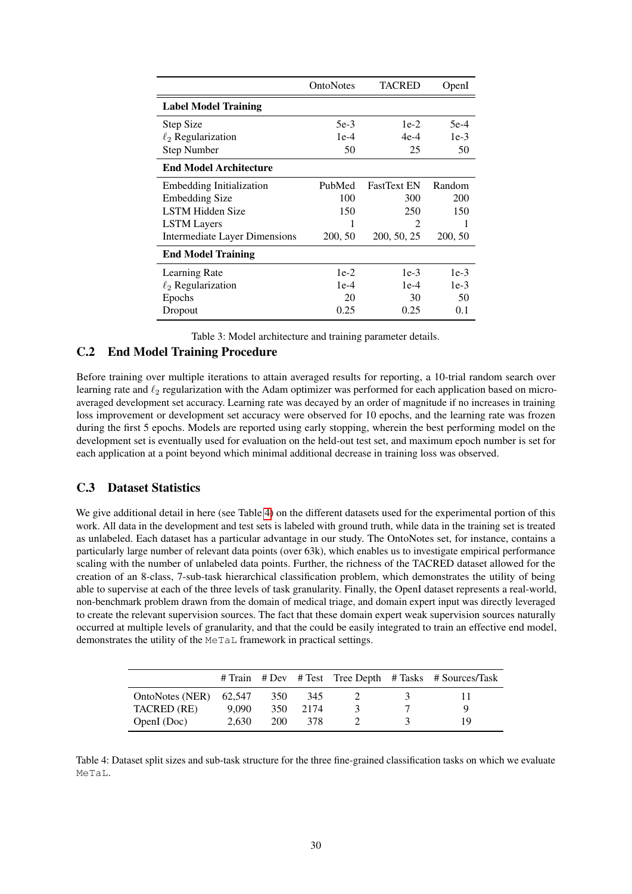<span id="page-29-0"></span>

|                               | OntoNotes | <b>TACRED</b>               | OpenI   |
|-------------------------------|-----------|-----------------------------|---------|
| <b>Label Model Training</b>   |           |                             |         |
| Step Size                     | 5e-3      | $1e-2$                      | $5e-4$  |
| $\ell_2$ Regularization       | $1e-4$    | $4e-4$                      | $1e-3$  |
| <b>Step Number</b>            | 50        | 25                          | 50      |
| <b>End Model Architecture</b> |           |                             |         |
| Embedding Initialization      | PubMed    | <b>FastText EN</b>          | Random  |
| <b>Embedding Size</b>         | 100       | 300                         | 200     |
| <b>LSTM Hidden Size</b>       | 150       | 250                         | 150     |
| <b>LSTM</b> Layers            |           | $\mathcal{D}_{\mathcal{L}}$ |         |
| Intermediate Layer Dimensions | 200, 50   | 200, 50, 25                 | 200, 50 |
| <b>End Model Training</b>     |           |                             |         |
| Learning Rate                 | $1e-2$    | $1e-3$                      | $1e-3$  |
| $\ell_2$ Regularization       | $1e-4$    | $1e-4$                      | $1e-3$  |
| Epochs                        | 20        | 30                          | 50      |
| Dropout                       | 0.25      | 0.25                        | 0.1     |

Table 3: Model architecture and training parameter details.

### C.2 End Model Training Procedure

Before training over multiple iterations to attain averaged results for reporting, a 10-trial random search over learning rate and  $\ell_2$  regularization with the Adam optimizer was performed for each application based on microaveraged development set accuracy. Learning rate was decayed by an order of magnitude if no increases in training loss improvement or development set accuracy were observed for 10 epochs, and the learning rate was frozen during the first 5 epochs. Models are reported using early stopping, wherein the best performing model on the development set is eventually used for evaluation on the held-out test set, and maximum epoch number is set for each application at a point beyond which minimal additional decrease in training loss was observed.

### C.3 Dataset Statistics

We give additional detail in here (see Table [4\)](#page-29-1) on the different datasets used for the experimental portion of this work. All data in the development and test sets is labeled with ground truth, while data in the training set is treated as unlabeled. Each dataset has a particular advantage in our study. The OntoNotes set, for instance, contains a particularly large number of relevant data points (over 63k), which enables us to investigate empirical performance scaling with the number of unlabeled data points. Further, the richness of the TACRED dataset allowed for the creation of an 8-class, 7-sub-task hierarchical classification problem, which demonstrates the utility of being able to supervise at each of the three levels of task granularity. Finally, the OpenI dataset represents a real-world, non-benchmark problem drawn from the domain of medical triage, and domain expert input was directly leveraged to create the relevant supervision sources. The fact that these domain expert weak supervision sources naturally occurred at multiple levels of granularity, and that the could be easily integrated to train an effective end model, demonstrates the utility of the MeTaL framework in practical settings.

<span id="page-29-1"></span>

|                 |        |     |      |  | # Train # Dev # Test Tree Depth # Tasks # Sources/Task |
|-----------------|--------|-----|------|--|--------------------------------------------------------|
| OntoNotes (NER) | 62.547 | 350 | 345  |  |                                                        |
| TACRED (RE)     | 9.090  | 350 | 2174 |  |                                                        |
| OpenI (Doc)     | 2.630  | 200 | 378  |  | 19                                                     |

Table 4: Dataset split sizes and sub-task structure for the three fine-grained classification tasks on which we evaluate MeTaL.